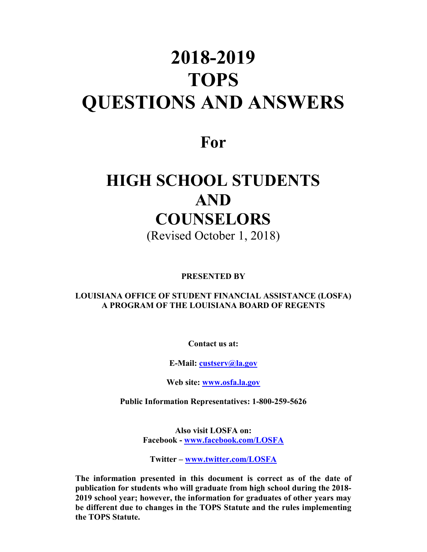# **2018-2019 TOPS QUESTIONS AND ANSWERS**

## **For**

## **HIGH SCHOOL STUDENTS AND COUNSELORS** (Revised October 1, 2018)

**PRESENTED BY**

**LOUISIANA OFFICE OF STUDENT FINANCIAL ASSISTANCE (LOSFA) A PROGRAM OF THE LOUISIANA BOARD OF REGENTS**

**Contact us at:**

**E-Mail: [custserv@la.gov](mailto:custserv@la.gov)**

**Web site: [www.osfa.la.gov](http://www.osfa.la.gov/)**

**Public Information Representatives: 1-800-259-5626**

**Also visit LOSFA on: Facebook - [www.facebook.com/LOSFA](http://www.facebook.com/LOSFA)**

**Twitter – [www.twitter.com/LOSFA](http://www.twitter.com/LOSFA)**

**The information presented in this document is correct as of the date of publication for students who will graduate from high school during the 2018- 2019 school year; however, the information for graduates of other years may be different due to changes in the TOPS Statute and the rules implementing the TOPS Statute.**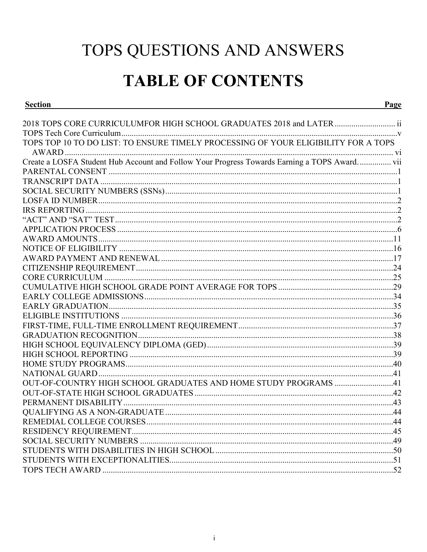# TOPS QUESTIONS AND ANSWERS

## **TABLE OF CONTENTS**

| ection |
|--------|
|        |

| 2018 TOPS CORE CURRICULUMFOR HIGH SCHOOL GRADUATES 2018 and LATER  ii                        |  |
|----------------------------------------------------------------------------------------------|--|
|                                                                                              |  |
| TOPS TOP 10 TO DO LIST: TO ENSURE TIMELY PROCESSING OF YOUR ELIGIBILITY FOR A TOPS           |  |
|                                                                                              |  |
| Create a LOSFA Student Hub Account and Follow Your Progress Towards Earning a TOPS Award vii |  |
|                                                                                              |  |
|                                                                                              |  |
|                                                                                              |  |
|                                                                                              |  |
|                                                                                              |  |
|                                                                                              |  |
|                                                                                              |  |
|                                                                                              |  |
|                                                                                              |  |
|                                                                                              |  |
|                                                                                              |  |
|                                                                                              |  |
|                                                                                              |  |
|                                                                                              |  |
|                                                                                              |  |
|                                                                                              |  |
|                                                                                              |  |
|                                                                                              |  |
|                                                                                              |  |
|                                                                                              |  |
|                                                                                              |  |
|                                                                                              |  |
| OUT-OF-COUNTRY HIGH SCHOOL GRADUATES AND HOME STUDY PROGRAMS 41                              |  |
|                                                                                              |  |
|                                                                                              |  |
|                                                                                              |  |
|                                                                                              |  |
|                                                                                              |  |
|                                                                                              |  |
|                                                                                              |  |
|                                                                                              |  |
|                                                                                              |  |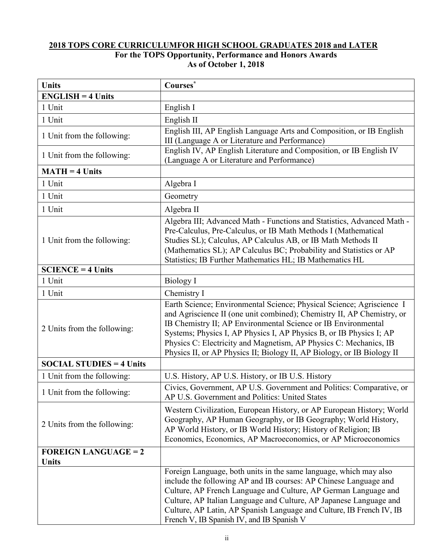#### <span id="page-2-0"></span>**2018 TOPS CORE CURRICULUMFOR HIGH SCHOOL GRADUATES 2018 and LATER For the TOPS Opportunity, Performance and Honors Awards As of October 1, 2018**

| <b>Units</b>                    | Courses*                                                                                                                                                                                                                                                                                                                                                                                                                               |
|---------------------------------|----------------------------------------------------------------------------------------------------------------------------------------------------------------------------------------------------------------------------------------------------------------------------------------------------------------------------------------------------------------------------------------------------------------------------------------|
| $ENGLISH = 4 Units$             |                                                                                                                                                                                                                                                                                                                                                                                                                                        |
| 1 Unit                          | English I                                                                                                                                                                                                                                                                                                                                                                                                                              |
| 1 Unit                          | English II                                                                                                                                                                                                                                                                                                                                                                                                                             |
| 1 Unit from the following:      | English III, AP English Language Arts and Composition, or IB English<br>III (Language A or Literature and Performance)                                                                                                                                                                                                                                                                                                                 |
| 1 Unit from the following:      | English IV, AP English Literature and Composition, or IB English IV<br>(Language A or Literature and Performance)                                                                                                                                                                                                                                                                                                                      |
| $MATH = 4 Units$                |                                                                                                                                                                                                                                                                                                                                                                                                                                        |
| 1 Unit                          | Algebra I                                                                                                                                                                                                                                                                                                                                                                                                                              |
| 1 Unit                          | Geometry                                                                                                                                                                                                                                                                                                                                                                                                                               |
| 1 Unit                          | Algebra II                                                                                                                                                                                                                                                                                                                                                                                                                             |
| 1 Unit from the following:      | Algebra III; Advanced Math - Functions and Statistics, Advanced Math -<br>Pre-Calculus, Pre-Calculus, or IB Math Methods I (Mathematical<br>Studies SL); Calculus, AP Calculus AB, or IB Math Methods II<br>(Mathematics SL); AP Calculus BC; Probability and Statistics or AP<br>Statistics; IB Further Mathematics HL; IB Mathematics HL                                                                                             |
| $SCIENCE = 4 Units$             |                                                                                                                                                                                                                                                                                                                                                                                                                                        |
| 1 Unit                          | <b>Biology</b> I                                                                                                                                                                                                                                                                                                                                                                                                                       |
| 1 Unit                          | Chemistry I                                                                                                                                                                                                                                                                                                                                                                                                                            |
| 2 Units from the following:     | Earth Science; Environmental Science; Physical Science; Agriscience I<br>and Agriscience II (one unit combined); Chemistry II, AP Chemistry, or<br>IB Chemistry II; AP Environmental Science or IB Environmental<br>Systems; Physics I, AP Physics I, AP Physics B, or IB Physics I; AP<br>Physics C: Electricity and Magnetism, AP Physics C: Mechanics, IB<br>Physics II, or AP Physics II; Biology II, AP Biology, or IB Biology II |
| <b>SOCIAL STUDIES = 4 Units</b> |                                                                                                                                                                                                                                                                                                                                                                                                                                        |
| 1 Unit from the following:      | U.S. History, AP U.S. History, or IB U.S. History                                                                                                                                                                                                                                                                                                                                                                                      |
| 1 Unit from the following:      | Civics, Government, AP U.S. Government and Politics: Comparative, or<br>AP U.S. Government and Politics: United States                                                                                                                                                                                                                                                                                                                 |
| 2 Units from the following:     | Western Civilization, European History, or AP European History; World<br>Geography, AP Human Geography, or IB Geography; World History,<br>AP World History, or IB World History; History of Religion; IB<br>Economics, Economics, AP Macroeconomics, or AP Microeconomics                                                                                                                                                             |
| <b>FOREIGN LANGUAGE = 2</b>     |                                                                                                                                                                                                                                                                                                                                                                                                                                        |
| <b>Units</b>                    | Foreign Language, both units in the same language, which may also<br>include the following AP and IB courses: AP Chinese Language and<br>Culture, AP French Language and Culture, AP German Language and<br>Culture, AP Italian Language and Culture, AP Japanese Language and<br>Culture, AP Latin, AP Spanish Language and Culture, IB French IV, IB<br>French V, IB Spanish IV, and IB Spanish V                                    |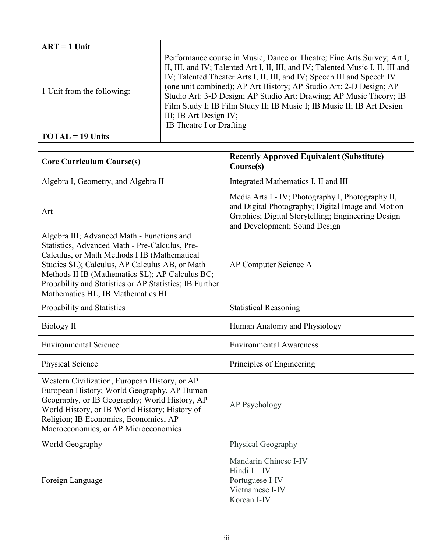| $ART = 1$ Unit                      |                                                                                                                                                                                                                                                                                                                                                                                                                                                             |
|-------------------------------------|-------------------------------------------------------------------------------------------------------------------------------------------------------------------------------------------------------------------------------------------------------------------------------------------------------------------------------------------------------------------------------------------------------------------------------------------------------------|
| 1 Unit from the following:          | Performance course in Music, Dance or Theatre; Fine Arts Survey; Art I,<br>II, III, and IV; Talented Art I, II, III, and IV; Talented Music I, II, III and<br>IV; Talented Theater Arts I, II, III, and IV; Speech III and Speech IV<br>(one unit combined); AP Art History; AP Studio Art: 2-D Design; AP<br>Studio Art: 3-D Design; AP Studio Art: Drawing; AP Music Theory; IB<br>Film Study I; IB Film Study II; IB Music I; IB Music II; IB Art Design |
|                                     | III; IB Art Design IV;                                                                                                                                                                                                                                                                                                                                                                                                                                      |
|                                     | IB Theatre I or Drafting                                                                                                                                                                                                                                                                                                                                                                                                                                    |
| $\textbf{TOTAL} = 19 \text{ Units}$ |                                                                                                                                                                                                                                                                                                                                                                                                                                                             |

| <b>Core Curriculum Course(s)</b>                                                                                                                                                                                                                                                                                                                  | <b>Recently Approved Equivalent (Substitute)</b><br>Course(s)                                                                                                                                 |
|---------------------------------------------------------------------------------------------------------------------------------------------------------------------------------------------------------------------------------------------------------------------------------------------------------------------------------------------------|-----------------------------------------------------------------------------------------------------------------------------------------------------------------------------------------------|
| Algebra I, Geometry, and Algebra II                                                                                                                                                                                                                                                                                                               | Integrated Mathematics I, II and III                                                                                                                                                          |
| Art                                                                                                                                                                                                                                                                                                                                               | Media Arts I - IV; Photography I, Photography II,<br>and Digital Photography; Digital Image and Motion<br>Graphics; Digital Storytelling; Engineering Design<br>and Development; Sound Design |
| Algebra III; Advanced Math - Functions and<br>Statistics, Advanced Math - Pre-Calculus, Pre-<br>Calculus, or Math Methods I IB (Mathematical<br>Studies SL); Calculus, AP Calculus AB, or Math<br>Methods II IB (Mathematics SL); AP Calculus BC;<br>Probability and Statistics or AP Statistics; IB Further<br>Mathematics HL; IB Mathematics HL | AP Computer Science A                                                                                                                                                                         |
| Probability and Statistics                                                                                                                                                                                                                                                                                                                        | <b>Statistical Reasoning</b>                                                                                                                                                                  |
| Biology II                                                                                                                                                                                                                                                                                                                                        | Human Anatomy and Physiology                                                                                                                                                                  |
| <b>Environmental Science</b>                                                                                                                                                                                                                                                                                                                      | <b>Environmental Awareness</b>                                                                                                                                                                |
| Physical Science                                                                                                                                                                                                                                                                                                                                  | Principles of Engineering                                                                                                                                                                     |
| Western Civilization, European History, or AP<br>European History; World Geography, AP Human<br>Geography, or IB Geography; World History, AP<br>World History, or IB World History; History of<br>Religion; IB Economics, Economics, AP<br>Macroeconomics, or AP Microeconomics                                                                  | AP Psychology                                                                                                                                                                                 |
| World Geography                                                                                                                                                                                                                                                                                                                                   | Physical Geography                                                                                                                                                                            |
| Foreign Language                                                                                                                                                                                                                                                                                                                                  | Mandarin Chinese I-IV<br>Hindi $I - IV$<br>Portuguese I-IV<br>Vietnamese I-IV<br>Korean I-IV                                                                                                  |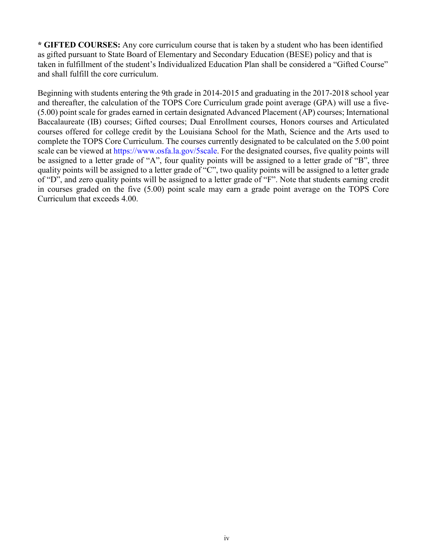**\* GIFTED COURSES:** Any core curriculum course that is taken by a student who has been identified as gifted pursuant to State Board of Elementary and Secondary Education (BESE) policy and that is taken in fulfillment of the student's Individualized Education Plan shall be considered a "Gifted Course" and shall fulfill the core curriculum.

Beginning with students entering the 9th grade in 2014-2015 and graduating in the 2017-2018 school year and thereafter, the calculation of the TOPS Core Curriculum grade point average (GPA) will use a five- (5.00) point scale for grades earned in certain designated Advanced Placement (AP) courses; International Baccalaureate (IB) courses; Gifted courses; Dual Enrollment courses, Honors courses and Articulated courses offered for college credit by the Louisiana School for the Math, Science and the Arts used to complete the TOPS Core Curriculum. The courses currently designated to be calculated on the 5.00 point scale can be viewed at https://www.osfa.la.gov/5scale. For the designated courses, five quality points will be assigned to a letter grade of "A", four quality points will be assigned to a letter grade of "B", three quality points will be assigned to a letter grade of "C", two quality points will be assigned to a letter grade of "D", and zero quality points will be assigned to a letter grade of "F". Note that students earning credit in courses graded on the five (5.00) point scale may earn a grade point average on the TOPS Core Curriculum that exceeds 4.00.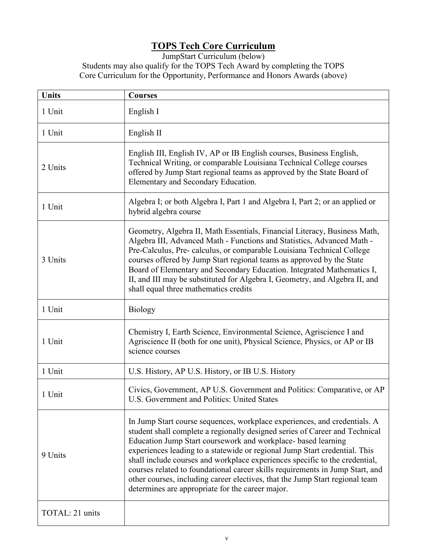## **TOPS Tech Core Curriculum**

<span id="page-5-0"></span>JumpStart Curriculum (below) Students may also qualify for the TOPS Tech Award by completing the TOPS

Core Curriculum for the Opportunity, Performance and Honors Awards (above)

| <b>Units</b>    | <b>Courses</b>                                                                                                                                                                                                                                                                                                                                                                                                                                                                                                                                                                                              |
|-----------------|-------------------------------------------------------------------------------------------------------------------------------------------------------------------------------------------------------------------------------------------------------------------------------------------------------------------------------------------------------------------------------------------------------------------------------------------------------------------------------------------------------------------------------------------------------------------------------------------------------------|
| 1 Unit          | English I                                                                                                                                                                                                                                                                                                                                                                                                                                                                                                                                                                                                   |
| 1 Unit          | English II                                                                                                                                                                                                                                                                                                                                                                                                                                                                                                                                                                                                  |
| 2 Units         | English III, English IV, AP or IB English courses, Business English,<br>Technical Writing, or comparable Louisiana Technical College courses<br>offered by Jump Start regional teams as approved by the State Board of<br>Elementary and Secondary Education.                                                                                                                                                                                                                                                                                                                                               |
| 1 Unit          | Algebra I; or both Algebra I, Part 1 and Algebra I, Part 2; or an applied or<br>hybrid algebra course                                                                                                                                                                                                                                                                                                                                                                                                                                                                                                       |
| 3 Units         | Geometry, Algebra II, Math Essentials, Financial Literacy, Business Math,<br>Algebra III, Advanced Math - Functions and Statistics, Advanced Math -<br>Pre-Calculus, Pre- calculus, or comparable Louisiana Technical College<br>courses offered by Jump Start regional teams as approved by the State<br>Board of Elementary and Secondary Education. Integrated Mathematics I,<br>II, and III may be substituted for Algebra I, Geometry, and Algebra II, and<br>shall equal three mathematics credits                                                                                                    |
| 1 Unit          | <b>Biology</b>                                                                                                                                                                                                                                                                                                                                                                                                                                                                                                                                                                                              |
| 1 Unit          | Chemistry I, Earth Science, Environmental Science, Agriscience I and<br>Agriscience II (both for one unit), Physical Science, Physics, or AP or IB<br>science courses                                                                                                                                                                                                                                                                                                                                                                                                                                       |
| 1 Unit          | U.S. History, AP U.S. History, or IB U.S. History                                                                                                                                                                                                                                                                                                                                                                                                                                                                                                                                                           |
| 1 Unit          | Civics, Government, AP U.S. Government and Politics: Comparative, or AP<br>U.S. Government and Politics: United States                                                                                                                                                                                                                                                                                                                                                                                                                                                                                      |
| 9 Units         | In Jump Start course sequences, workplace experiences, and credentials. A<br>student shall complete a regionally designed series of Career and Technical<br>Education Jump Start coursework and workplace- based learning<br>experiences leading to a statewide or regional Jump Start credential. This<br>shall include courses and workplace experiences specific to the credential,<br>courses related to foundational career skills requirements in Jump Start, and<br>other courses, including career electives, that the Jump Start regional team<br>determines are appropriate for the career major. |
| TOTAL: 21 units |                                                                                                                                                                                                                                                                                                                                                                                                                                                                                                                                                                                                             |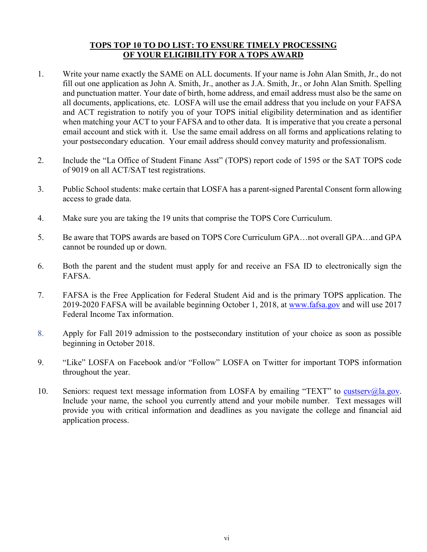#### **TOPS TOP 10 TO DO LIST: TO ENSURE TIMELY PROCESSING OF YOUR ELIGIBILITY FOR A TOPS AWARD**

- <span id="page-6-0"></span>1. Write your name exactly the SAME on ALL documents. If your name is John Alan Smith, Jr., do not fill out one application as John A. Smith, Jr., another as J.A. Smith, Jr., or John Alan Smith. Spelling and punctuation matter. Your date of birth, home address, and email address must also be the same on all documents, applications, etc. LOSFA will use the email address that you include on your FAFSA and ACT registration to notify you of your TOPS initial eligibility determination and as identifier when matching your ACT to your FAFSA and to other data. It is imperative that you create a personal email account and stick with it. Use the same email address on all forms and applications relating to your postsecondary education. Your email address should convey maturity and professionalism.
- 2. Include the "La Office of Student Financ Asst" (TOPS) report code of 1595 or the SAT TOPS code of 9019 on all ACT/SAT test registrations.
- 3. Public School students: make certain that LOSFA has a parent-signed Parental Consent form allowing access to grade data.
- 4. Make sure you are taking the 19 units that comprise the TOPS Core Curriculum.
- 5. Be aware that TOPS awards are based on TOPS Core Curriculum GPA…not overall GPA…and GPA cannot be rounded up or down.
- 6. Both the parent and the student must apply for and receive an FSA ID to electronically sign the FAFSA.
- 7. FAFSA is the Free Application for Federal Student Aid and is the primary TOPS application. The 2019-2020 FAFSA will be available beginning October 1, 2018, at [www.fafsa.gov](http://www.fafsa.gov/) and will use 2017 Federal Income Tax information.
- 8. Apply for Fall 2019 admission to the postsecondary institution of your choice as soon as possible beginning in October 2018.
- 9. "Like" LOSFA on Facebook and/or "Follow" LOSFA on Twitter for important TOPS information throughout the year.
- 10. Seniors: request text message information from LOSFA by emailing "TEXT" to [custserv@la.gov.](mailto:custserv@la.gov) Include your name, the school you currently attend and your mobile number. Text messages will provide you with critical information and deadlines as you navigate the college and financial aid application process.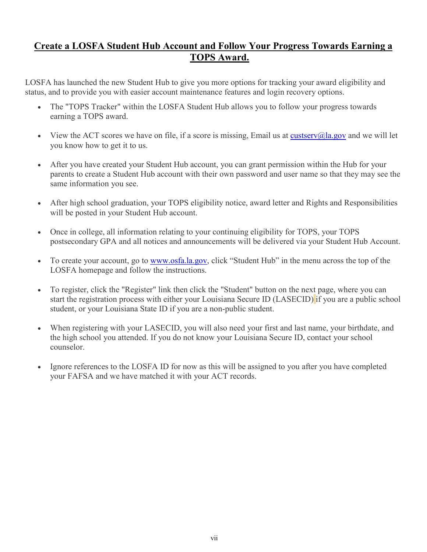## <span id="page-7-0"></span>**Create a LOSFA Student Hub Account and Follow Your Progress Towards Earning a TOPS Award.**

LOSFA has launched the new Student Hub to give you more options for tracking your award eligibility and status, and to provide you with easier account maintenance features and login recovery options.

- The "TOPS Tracker" within the LOSFA Student Hub allows you to follow your progress towards earning a TOPS award.
- View the ACT scores we have on file, if a score is missing, Email us at [custserv@la.gov](mailto:custserv@la.gov) and we will let you know how to get it to us.
- After you have created your Student Hub account, you can grant permission within the Hub for your parents to create a Student Hub account with their own password and user name so that they may see the same information you see.
- After high school graduation, your TOPS eligibility notice, award letter and Rights and Responsibilities will be posted in your Student Hub account.
- Once in college, all information relating to your continuing eligibility for TOPS, your TOPS postsecondary GPA and all notices and announcements will be delivered via your Student Hub Account.
- To create your account, go to [www.osfa.la.gov,](http://www.osfa.la.gov/) click "Student Hub" in the menu across the top of the LOSFA homepage and follow the instructions.
- To register, click the "Register" link then click the "Student" button on the next page, where you can start the registration process with either your Louisiana Secure ID (LASECID) if you are a public school student, or your Louisiana State ID if you are a non-public student.
- When registering with your LASECID, you will also need your first and last name, your birthdate, and the high school you attended. If you do not know your Louisiana Secure ID, contact your school counselor.
- Ignore references to the LOSFA ID for now as this will be assigned to you after you have completed your FAFSA and we have matched it with your ACT records.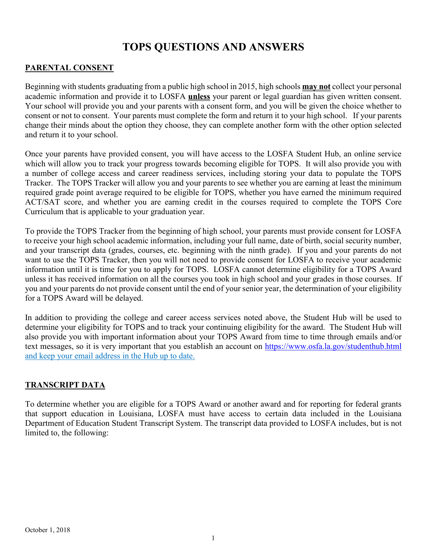## **TOPS QUESTIONS AND ANSWERS**

#### <span id="page-8-0"></span>**PARENTAL CONSENT**

Beginning with students graduating from a public high school in 2015, high schools **may not** collect your personal academic information and provide it to LOSFA **unless** your parent or legal guardian has given written consent. Your school will provide you and your parents with a consent form, and you will be given the choice whether to consent or not to consent. Your parents must complete the form and return it to your high school. If your parents change their minds about the option they choose, they can complete another form with the other option selected and return it to your school.

Once your parents have provided consent, you will have access to the LOSFA Student Hub, an online service which will allow you to track your progress towards becoming eligible for TOPS. It will also provide you with a number of college access and career readiness services, including storing your data to populate the TOPS Tracker. The TOPS Tracker will allow you and your parents to see whether you are earning at least the minimum required grade point average required to be eligible for TOPS, whether you have earned the minimum required ACT/SAT score, and whether you are earning credit in the courses required to complete the TOPS Core Curriculum that is applicable to your graduation year.

To provide the TOPS Tracker from the beginning of high school, your parents must provide consent for LOSFA to receive your high school academic information, including your full name, date of birth, social security number, and your transcript data (grades, courses, etc. beginning with the ninth grade). If you and your parents do not want to use the TOPS Tracker, then you will not need to provide consent for LOSFA to receive your academic information until it is time for you to apply for TOPS. LOSFA cannot determine eligibility for a TOPS Award unless it has received information on all the courses you took in high school and your grades in those courses. If you and your parents do not provide consent until the end of your senior year, the determination of your eligibility for a TOPS Award will be delayed.

In addition to providing the college and career access services noted above, the Student Hub will be used to determine your eligibility for TOPS and to track your continuing eligibility for the award. The Student Hub will also provide you with important information about your TOPS Award from time to time through emails and/or text messages, so it is very important that you establish an account on<https://www.osfa.la.gov/studenthub.html> and keep your email address in the Hub up to date.

## <span id="page-8-1"></span>**TRANSCRIPT DATA**

To determine whether you are eligible for a TOPS Award or another award and for reporting for federal grants that support education in Louisiana, LOSFA must have access to certain data included in the Louisiana Department of Education Student Transcript System. The transcript data provided to LOSFA includes, but is not limited to, the following: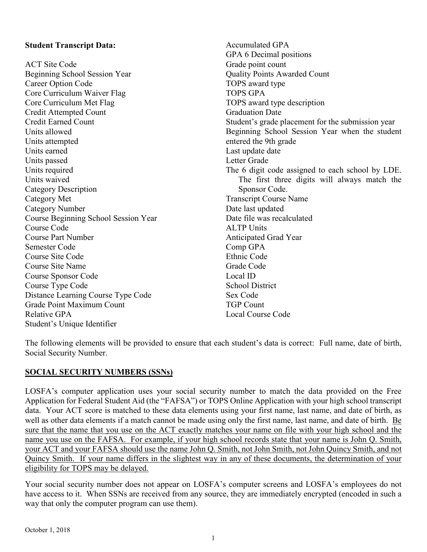## **Student Transcript Data:**

ACT Site Code Beginning School Session Year Career Option Code Core Curriculum Waiver Flag Core Curriculum Met Flag Credit Attempted Count Credit Earned Count Units allowed Units attempted Units earned Units passed Units required Units waived Category Description Category Met Category Number Course Beginning School Session Year Course Code Course Part Number Semester Code Course Site Code Course Site Name Course Sponsor Code Course Type Code Distance Learning Course Type Code Grade Point Maximum Count Relative GPA Student's Unique Identifier

Accumulated GPA GPA 6 Decimal positions Grade point count Quality Points Awarded Count TOPS award type TOPS GPA TOPS award type description Graduation Date Student's grade placement for the submission year Beginning School Session Year when the student entered the 9th grade Last update date Letter Grade The 6 digit code assigned to each school by LDE. The first three digits will always match the Sponsor Code. Transcript Course Name Date last updated Date file was recalculated ALTP Units Anticipated Grad Year Comp GPA Ethnic Code Grade Code Local ID School District Sex Code TGP Count Local Course Code

The following elements will be provided to ensure that each student's data is correct: Full name, date of birth, Social Security Number.

## <span id="page-9-0"></span>**SOCIAL SECURITY NUMBERS (SSNs)**

LOSFA's computer application uses your social security number to match the data provided on the Free Application for Federal Student Aid (the "FAFSA") or TOPS Online Application with your high school transcript data. Your ACT score is matched to these data elements using your first name, last name, and date of birth, as well as other data elements if a match cannot be made using only the first name, last name, and date of birth. Be sure that the name that you use on the ACT exactly matches your name on file with your high school and the name you use on the FAFSA. For example, if your high school records state that your name is John Q. Smith, your ACT and your FAFSA should use the name John Q. Smith, not John Smith, not John Quincy Smith, and not Quincy Smith. If your name differs in the slightest way in any of these documents, the determination of your eligibility for TOPS may be delayed.

Your social security number does not appear on LOSFA's computer screens and LOSFA's employees do not have access to it. When SSNs are received from any source, they are immediately encrypted (encoded in such a way that only the computer program can use them).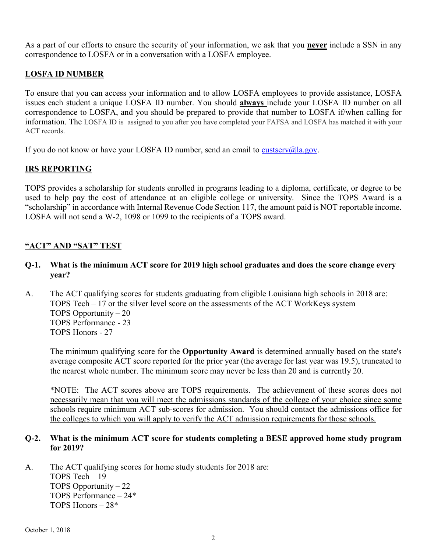As a part of our efforts to ensure the security of your information, we ask that you **never** include a SSN in any correspondence to LOSFA or in a conversation with a LOSFA employee.

## <span id="page-10-0"></span>**LOSFA ID NUMBER**

To ensure that you can access your information and to allow LOSFA employees to provide assistance, LOSFA issues each student a unique LOSFA ID number. You should **always** include your LOSFA ID number on all correspondence to LOSFA, and you should be prepared to provide that number to LOSFA if/when calling for information. The LOSFA ID is assigned to you after you have completed your FAFSA and LOSFA has matched it with your ACT records.

If you do not know or have your LOSFA ID number, send an email to [custserv@la.gov.](mailto:custserv@la.gov)

## <span id="page-10-1"></span>**IRS REPORTING**

TOPS provides a scholarship for students enrolled in programs leading to a diploma, certificate, or degree to be used to help pay the cost of attendance at an eligible college or university. Since the TOPS Award is a "scholarship" in accordance with Internal Revenue Code Section 117, the amount paid is NOT reportable income. LOSFA will not send a W-2, 1098 or 1099 to the recipients of a TOPS award.

## <span id="page-10-2"></span>**"ACT" AND "SAT" TEST**

- **Q-1. What is the minimum ACT score for 2019 high school graduates and does the score change every year?**
- A. The ACT qualifying scores for students graduating from eligible Louisiana high schools in 2018 are: TOPS Tech – 17 or the silver level score on the assessments of the ACT WorkKeys system TOPS Opportunity – 20 TOPS Performance - 23 TOPS Honors - 27

The minimum qualifying score for the **Opportunity Award** is determined annually based on the state's average composite ACT score reported for the prior year (the average for last year was 19.5), truncated to the nearest whole number. The minimum score may never be less than 20 and is currently 20.

\*NOTE: The ACT scores above are TOPS requirements. The achievement of these scores does not necessarily mean that you will meet the admissions standards of the college of your choice since some schools require minimum ACT sub-scores for admission. You should contact the admissions office for the colleges to which you will apply to verify the ACT admission requirements for those schools.

#### **Q-2. What is the minimum ACT score for students completing a BESE approved home study program for 2019?**

A. The ACT qualifying scores for home study students for 2018 are: TOPS Tech – 19 TOPS Opportunity – 22 TOPS Performance – 24\* TOPS Honors – 28\*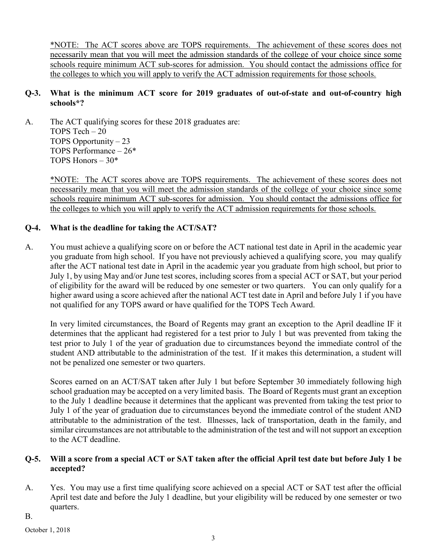\*NOTE: The ACT scores above are TOPS requirements. The achievement of these scores does not necessarily mean that you will meet the admission standards of the college of your choice since some schools require minimum ACT sub-scores for admission. You should contact the admissions office for the colleges to which you will apply to verify the ACT admission requirements for those schools.

## **Q-3. What is the minimum ACT score for 2019 graduates of out-of-state and out-of-country high schools\*?**

A. The ACT qualifying scores for these 2018 graduates are: TOPS Tech – 20 TOPS Opportunity – 23 TOPS Performance – 26\* TOPS Honors  $-30*$ 

> \*NOTE: The ACT scores above are TOPS requirements. The achievement of these scores does not necessarily mean that you will meet the admission standards of the college of your choice since some schools require minimum ACT sub-scores for admission. You should contact the admissions office for the colleges to which you will apply to verify the ACT admission requirements for those schools.

## **Q-4. What is the deadline for taking the ACT/SAT?**

A. You must achieve a qualifying score on or before the ACT national test date in April in the academic year you graduate from high school. If you have not previously achieved a qualifying score, you may qualify after the ACT national test date in April in the academic year you graduate from high school, but prior to July 1, by using May and/or June test scores, including scores from a special ACT or SAT, but your period of eligibility for the award will be reduced by one semester or two quarters. You can only qualify for a higher award using a score achieved after the national ACT test date in April and before July 1 if you have not qualified for any TOPS award or have qualified for the TOPS Tech Award.

In very limited circumstances, the Board of Regents may grant an exception to the April deadline IF it determines that the applicant had registered for a test prior to July 1 but was prevented from taking the test prior to July 1 of the year of graduation due to circumstances beyond the immediate control of the student AND attributable to the administration of the test. If it makes this determination, a student will not be penalized one semester or two quarters.

Scores earned on an ACT/SAT taken after July 1 but before September 30 immediately following high school graduation may be accepted on a very limited basis. The Board of Regents must grant an exception to the July 1 deadline because it determines that the applicant was prevented from taking the test prior to July 1 of the year of graduation due to circumstances beyond the immediate control of the student AND attributable to the administration of the test. Illnesses, lack of transportation, death in the family, and similar circumstances are not attributable to the administration of the test and will not support an exception to the ACT deadline.

#### **Q-5. Will a score from a special ACT or SAT taken after the official April test date but before July 1 be accepted?**

- A. Yes. You may use a first time qualifying score achieved on a special ACT or SAT test after the official April test date and before the July 1 deadline, but your eligibility will be reduced by one semester or two quarters.
- B.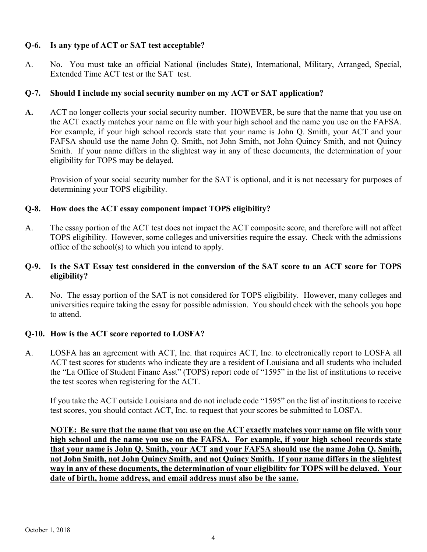## **Q-6. Is any type of ACT or SAT test acceptable?**

A. No. You must take an official National (includes State), International, Military, Arranged, Special, Extended Time ACT test or the SAT test.

#### **Q-7. Should I include my social security number on my ACT or SAT application?**

**A.** ACT no longer collects your social security number. HOWEVER, be sure that the name that you use on the ACT exactly matches your name on file with your high school and the name you use on the FAFSA. For example, if your high school records state that your name is John Q. Smith, your ACT and your FAFSA should use the name John Q. Smith, not John Smith, not John Quincy Smith, and not Quincy Smith. If your name differs in the slightest way in any of these documents, the determination of your eligibility for TOPS may be delayed.

Provision of your social security number for the SAT is optional, and it is not necessary for purposes of determining your TOPS eligibility.

#### **Q-8. How does the ACT essay component impact TOPS eligibility?**

A. The essay portion of the ACT test does not impact the ACT composite score, and therefore will not affect TOPS eligibility. However, some colleges and universities require the essay. Check with the admissions office of the school(s) to which you intend to apply.

## **Q-9. Is the SAT Essay test considered in the conversion of the SAT score to an ACT score for TOPS eligibility?**

A. No. The essay portion of the SAT is not considered for TOPS eligibility. However, many colleges and universities require taking the essay for possible admission. You should check with the schools you hope to attend.

## **Q-10. How is the ACT score reported to LOSFA?**

A. LOSFA has an agreement with ACT, Inc. that requires ACT, Inc. to electronically report to LOSFA all ACT test scores for students who indicate they are a resident of Louisiana and all students who included the "La Office of Student Financ Asst" (TOPS) report code of "1595" in the list of institutions to receive the test scores when registering for the ACT.

If you take the ACT outside Louisiana and do not include code "1595" on the list of institutions to receive test scores, you should contact ACT, Inc. to request that your scores be submitted to LOSFA.

**NOTE: Be sure that the name that you use on the ACT exactly matches your name on file with your high school and the name you use on the FAFSA. For example, if your high school records state that your name is John Q. Smith, your ACT and your FAFSA should use the name John Q. Smith, not John Smith, not John Quincy Smith, and not Quincy Smith. If your name differs in the slightest way in any of these documents, the determination of your eligibility for TOPS will be delayed. Your date of birth, home address, and email address must also be the same.**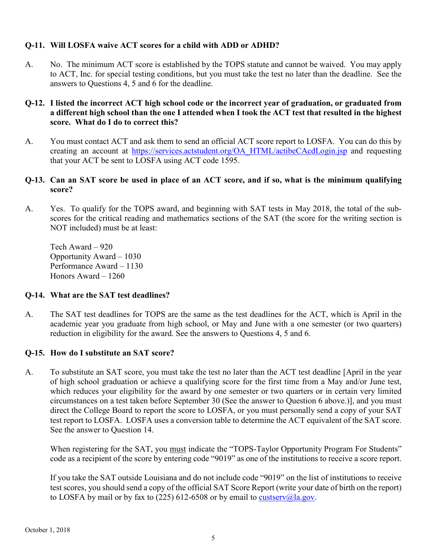## **Q-11. Will LOSFA waive ACT scores for a child with ADD or ADHD?**

A. No. The minimum ACT score is established by the TOPS statute and cannot be waived. You may apply to ACT, Inc. for special testing conditions, but you must take the test no later than the deadline. See the answers to Questions 4, 5 and 6 for the deadline.

#### **Q-12. I listed the incorrect ACT high school code or the incorrect year of graduation, or graduated from a different high school than the one I attended when I took the ACT test that resulted in the highest score. What do I do to correct this?**

A. You must contact ACT and ask them to send an official ACT score report to LOSFA. You can do this by creating an account at [https://services.actstudent.org/OA\\_HTML/actibeCAcdLogin.jsp](https://services.actstudent.org/OA_HTML/actibeCAcdLogin.jsp) and requesting that your ACT be sent to LOSFA using ACT code 1595.

## **Q-13. Can an SAT score be used in place of an ACT score, and if so, what is the minimum qualifying score?**

A. Yes. To qualify for the TOPS award, and beginning with SAT tests in May 2018, the total of the subscores for the critical reading and mathematics sections of the SAT (the score for the writing section is NOT included) must be at least:

Tech Award – 920 Opportunity Award – 1030 Performance Award – 1130 Honors Award – 1260

## **Q-14. What are the SAT test deadlines?**

A. The SAT test deadlines for TOPS are the same as the test deadlines for the ACT, which is April in the academic year you graduate from high school, or May and June with a one semester (or two quarters) reduction in eligibility for the award. See the answers to Questions 4, 5 and 6.

## **Q-15. How do I substitute an SAT score?**

A. To substitute an SAT score, you must take the test no later than the ACT test deadline [April in the year of high school graduation or achieve a qualifying score for the first time from a May and/or June test, which reduces your eligibility for the award by one semester or two quarters or in certain very limited circumstances on a test taken before September 30 (See the answer to Question 6 above.)], and you must direct the College Board to report the score to LOSFA, or you must personally send a copy of your SAT test report to LOSFA. LOSFA uses a conversion table to determine the ACT equivalent of the SAT score. See the answer to Question 14.

When registering for the SAT, you must indicate the "TOPS-Taylor Opportunity Program For Students" code as a recipient of the score by entering code "9019" as one of the institutions to receive a score report.

If you take the SAT outside Louisiana and do not include code "9019" on the list of institutions to receive test scores, you should send a copy of the official SAT Score Report (write your date of birth on the report) to LOSFA by mail or by fax to (225) 612-6508 or by email to [custserv@la.gov.](mailto:custserv@la.gov)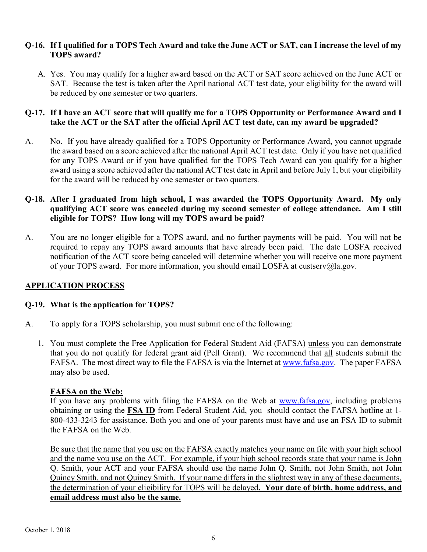#### **Q-16. If I qualified for a TOPS Tech Award and take the June ACT or SAT, can I increase the level of my TOPS award?**

A. Yes. You may qualify for a higher award based on the ACT or SAT score achieved on the June ACT or SAT. Because the test is taken after the April national ACT test date, your eligibility for the award will be reduced by one semester or two quarters.

## **Q-17. If I have an ACT score that will qualify me for a TOPS Opportunity or Performance Award and I take the ACT or the SAT after the official April ACT test date, can my award be upgraded?**

A. No. If you have already qualified for a TOPS Opportunity or Performance Award, you cannot upgrade the award based on a score achieved after the national April ACT test date. Only if you have not qualified for any TOPS Award or if you have qualified for the TOPS Tech Award can you qualify for a higher award using a score achieved after the national ACT test date in April and before July 1, but your eligibility for the award will be reduced by one semester or two quarters.

## **Q-18. After I graduated from high school, I was awarded the TOPS Opportunity Award. My only qualifying ACT score was canceled during my second semester of college attendance. Am I still eligible for TOPS? How long will my TOPS award be paid?**

A. You are no longer eligible for a TOPS award, and no further payments will be paid. You will not be required to repay any TOPS award amounts that have already been paid. The date LOSFA received notification of the ACT score being canceled will determine whether you will receive one more payment of your TOPS award. For more information, you should email LOSFA at custserv@la.gov.

## <span id="page-14-0"></span>**APPLICATION PROCESS**

## **Q-19. What is the application for TOPS?**

- A. To apply for a TOPS scholarship, you must submit one of the following:
	- 1. You must complete the Free Application for Federal Student Aid (FAFSA) unless you can demonstrate that you do not qualify for federal grant aid (Pell Grant). We recommend that all students submit the FAFSA. The most direct way to file the FAFSA is via the Internet at [www.fafsa.gov.](http://www.fafsa.gov/) The paper FAFSA may also be used.

## **FAFSA on the Web:**

If you have any problems with filing the FAFSA on the Web at [www.fafsa.gov,](http://www.fafsa.gov/) including problems obtaining or using the **FSA ID** from Federal Student Aid, you should contact the FAFSA hotline at 1- 800-433-3243 for assistance. Both you and one of your parents must have and use an FSA ID to submit the FAFSA on the Web.

Be sure that the name that you use on the FAFSA exactly matches your name on file with your high school and the name you use on the ACT. For example, if your high school records state that your name is John Q. Smith, your ACT and your FAFSA should use the name John Q. Smith, not John Smith, not John Quincy Smith, and not Quincy Smith. If your name differs in the slightest way in any of these documents, the determination of your eligibility for TOPS will be delayed**. Your date of birth, home address, and email address must also be the same.**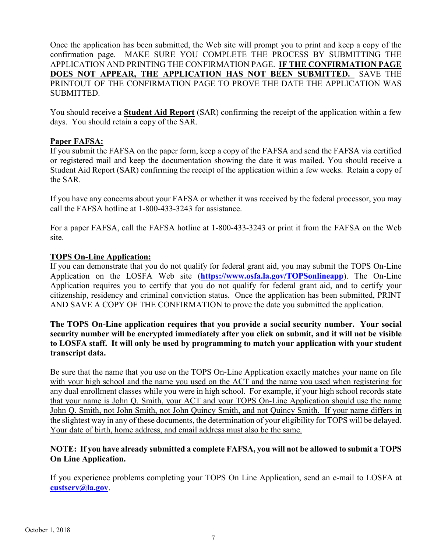Once the application has been submitted, the Web site will prompt you to print and keep a copy of the confirmation page. MAKE SURE YOU COMPLETE THE PROCESS BY SUBMITTING THE APPLICATION AND PRINTING THE CONFIRMATION PAGE. **IF THE CONFIRMATION PAGE DOES NOT APPEAR, THE APPLICATION HAS NOT BEEN SUBMITTED.** SAVE THE PRINTOUT OF THE CONFIRMATION PAGE TO PROVE THE DATE THE APPLICATION WAS SUBMITTED.

You should receive a **Student Aid Report** (SAR) confirming the receipt of the application within a few days. You should retain a copy of the SAR.

#### **Paper FAFSA:**

If you submit the FAFSA on the paper form, keep a copy of the FAFSA and send the FAFSA via certified or registered mail and keep the documentation showing the date it was mailed. You should receive a Student Aid Report (SAR) confirming the receipt of the application within a few weeks. Retain a copy of the SAR.

If you have any concerns about your FAFSA or whether it was received by the federal processor, you may call the FAFSA hotline at 1-800-433-3243 for assistance.

For a paper FAFSA, call the FAFSA hotline at 1-800-433-3243 or print it from the FAFSA on the Web site.

#### **TOPS On-Line Application:**

If you can demonstrate that you do not qualify for federal grant aid, you may submit the TOPS On-Line Application on the LOSFA Web site (**<https://www.osfa.la.gov/TOPSonlineapp>**). The On-Line Application requires you to certify that you do not qualify for federal grant aid, and to certify your citizenship, residency and criminal conviction status. Once the application has been submitted, PRINT AND SAVE A COPY OF THE CONFIRMATION to prove the date you submitted the application.

## **The TOPS On-Line application requires that you provide a social security number. Your social security number will be encrypted immediately after you click on submit, and it will not be visible to LOSFA staff. It will only be used by programming to match your application with your student transcript data.**

Be sure that the name that you use on the TOPS On-Line Application exactly matches your name on file with your high school and the name you used on the ACT and the name you used when registering for any dual enrollment classes while you were in high school. For example, if your high school records state that your name is John Q. Smith, your ACT and your TOPS On-Line Application should use the name John Q. Smith, not John Smith, not John Quincy Smith, and not Quincy Smith. If your name differs in the slightest way in any of these documents, the determination of your eligibility for TOPS will be delayed. Your date of birth, home address, and email address must also be the same.

## **NOTE: If you have already submitted a complete FAFSA, you will not be allowed to submit a TOPS On Line Application.**

If you experience problems completing your TOPS On Line Application, send an e-mail to LOSFA at **[custserv@la.gov](mailto:custserv@la.gov)**.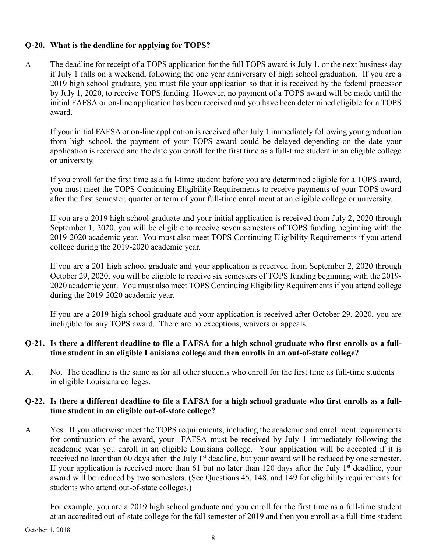## **Q-20. What is the deadline for applying for TOPS?**

A The deadline for receipt of a TOPS application for the full TOPS award is July 1, or the next business day if July 1 falls on a weekend, following the one year anniversary of high school graduation. If you are a 2019 high school graduate, you must file your application so that it is received by the federal processor by July 1, 2020, to receive TOPS funding. However, no payment of a TOPS award will be made until the initial FAFSA or on-line application has been received and you have been determined eligible for a TOPS award.

If your initial FAFSA or on-line application is received after July 1 immediately following your graduation from high school, the payment of your TOPS award could be delayed depending on the date your application is received and the date you enroll for the first time as a full-time student in an eligible college or university.

If you enroll for the first time as a full-time student before you are determined eligible for a TOPS award, you must meet the TOPS Continuing Eligibility Requirements to receive payments of your TOPS award after the first semester, quarter or term of your full-time enrollment at an eligible college or university.

If you are a 2019 high school graduate and your initial application is received from July 2, 2020 through September 1, 2020, you will be eligible to receive seven semesters of TOPS funding beginning with the 2019-2020 academic year. You must also meet TOPS Continuing Eligibility Requirements if you attend college during the 2019-2020 academic year.

If you are a 201 high school graduate and your application is received from September 2, 2020 through October 29, 2020, you will be eligible to receive six semesters of TOPS funding beginning with the 2019- 2020 academic year. You must also meet TOPS Continuing Eligibility Requirements if you attend college during the 2019-2020 academic year.

If you are a 2019 high school graduate and your application is received after October 29, 2020, you are ineligible for any TOPS award. There are no exceptions, waivers or appeals.

## **Q-21. Is there a different deadline to file a FAFSA for a high school graduate who first enrolls as a fulltime student in an eligible Louisiana college and then enrolls in an out-of-state college?**

A. No. The deadline is the same as for all other students who enroll for the first time as full-time students in eligible Louisiana colleges.

## **Q-22. Is there a different deadline to file a FAFSA for a high school graduate who first enrolls as a fulltime student in an eligible out-of-state college?**

A. Yes. If you otherwise meet the TOPS requirements, including the academic and enrollment requirements for continuation of the award, your FAFSA must be received by July 1 immediately following the academic year you enroll in an eligible Louisiana college. Your application will be accepted if it is received no later than 60 days after the July 1<sup>st</sup> deadline, but your award will be reduced by one semester. If your application is received more than 61 but no later than 120 days after the July  $1<sup>st</sup>$  deadline, your award will be reduced by two semesters. (See Questions 45, 148, and 149 for eligibility requirements for students who attend out-of-state colleges.)

For example, you are a 2019 high school graduate and you enroll for the first time as a full-time student at an accredited out-of-state college for the fall semester of 2019 and then you enroll as a full-time student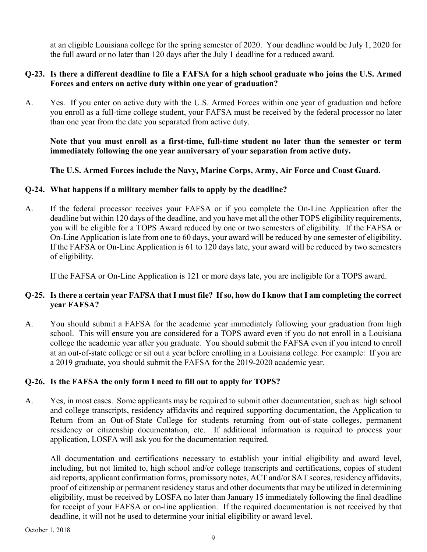at an eligible Louisiana college for the spring semester of 2020. Your deadline would be July 1, 2020 for the full award or no later than 120 days after the July 1 deadline for a reduced award.

#### **Q-23. Is there a different deadline to file a FAFSA for a high school graduate who joins the U.S. Armed Forces and enters on active duty within one year of graduation?**

A. Yes. If you enter on active duty with the U.S. Armed Forces within one year of graduation and before you enroll as a full-time college student, your FAFSA must be received by the federal processor no later than one year from the date you separated from active duty.

**Note that you must enroll as a first-time, full-time student no later than the semester or term immediately following the one year anniversary of your separation from active duty.**

## **The U.S. Armed Forces include the Navy, Marine Corps, Army, Air Force and Coast Guard.**

## **Q-24. What happens if a military member fails to apply by the deadline?**

A. If the federal processor receives your FAFSA or if you complete the On-Line Application after the deadline but within 120 days of the deadline, and you have met all the other TOPS eligibility requirements, you will be eligible for a TOPS Award reduced by one or two semesters of eligibility. If the FAFSA or On-Line Application is late from one to 60 days, your award will be reduced by one semester of eligibility. If the FAFSA or On-Line Application is 61 to 120 days late, your award will be reduced by two semesters of eligibility.

If the FAFSA or On-Line Application is 121 or more days late, you are ineligible for a TOPS award.

## **Q-25. Is there a certain year FAFSA that I must file? If so, how do I know that I am completing the correct year FAFSA?**

A. You should submit a FAFSA for the academic year immediately following your graduation from high school. This will ensure you are considered for a TOPS award even if you do not enroll in a Louisiana college the academic year after you graduate. You should submit the FAFSA even if you intend to enroll at an out-of-state college or sit out a year before enrolling in a Louisiana college. For example: If you are a 2019 graduate, you should submit the FAFSA for the 2019-2020 academic year.

## **Q-26. Is the FAFSA the only form I need to fill out to apply for TOPS?**

A. Yes, in most cases. Some applicants may be required to submit other documentation, such as: high school and college transcripts, residency affidavits and required supporting documentation, the Application to Return from an Out-of-State College for students returning from out-of-state colleges, permanent residency or citizenship documentation, etc. If additional information is required to process your application, LOSFA will ask you for the documentation required.

All documentation and certifications necessary to establish your initial eligibility and award level, including, but not limited to, high school and/or college transcripts and certifications, copies of student aid reports, applicant confirmation forms, promissory notes, ACT and/or SAT scores, residency affidavits, proof of citizenship or permanent residency status and other documents that may be utilized in determining eligibility, must be received by LOSFA no later than January 15 immediately following the final deadline for receipt of your FAFSA or on-line application. If the required documentation is not received by that deadline, it will not be used to determine your initial eligibility or award level.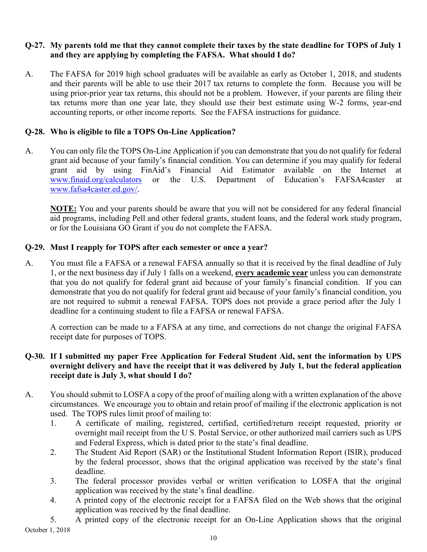## **Q-27. My parents told me that they cannot complete their taxes by the state deadline for TOPS of July 1 and they are applying by completing the FAFSA. What should I do?**

A. The FAFSA for 2019 high school graduates will be available as early as October 1, 2018, and students and their parents will be able to use their 2017 tax returns to complete the form. Because you will be using prior-prior year tax returns, this should not be a problem. However, if your parents are filing their tax returns more than one year late, they should use their best estimate using W-2 forms, year-end accounting reports, or other income reports. See the FAFSA instructions for guidance.

## **Q-28. Who is eligible to file a TOPS On-Line Application?**

A. You can only file the TOPS On-Line Application if you can demonstrate that you do not qualify for federal grant aid because of your family's financial condition. You can determine if you may qualify for federal grant aid by using FinAid's Financial Aid Estimator available on the Internet at [www.finaid.org/calculators](http://www.finaid.org/calculators) or the U.S. Department of Education's FAFSA4caster at [www.fafsa4caster.ed.gov/.](http://www.fafsa4caster.ed.gov/)

**NOTE:** You and your parents should be aware that you will not be considered for any federal financial aid programs, including Pell and other federal grants, student loans, and the federal work study program, or for the Louisiana GO Grant if you do not complete the FAFSA.

#### **Q-29. Must I reapply for TOPS after each semester or once a year?**

A. You must file a FAFSA or a renewal FAFSA annually so that it is received by the final deadline of July 1, or the next business day if July 1 falls on a weekend, **every academic year** unless you can demonstrate that you do not qualify for federal grant aid because of your family's financial condition. If you can demonstrate that you do not qualify for federal grant aid because of your family's financial condition, you are not required to submit a renewal FAFSA. TOPS does not provide a grace period after the July 1 deadline for a continuing student to file a FAFSA or renewal FAFSA.

A correction can be made to a FAFSA at any time, and corrections do not change the original FAFSA receipt date for purposes of TOPS.

## **Q-30. If I submitted my paper Free Application for Federal Student Aid, sent the information by UPS overnight delivery and have the receipt that it was delivered by July 1, but the federal application receipt date is July 3, what should I do?**

- A. You should submit to LOSFA a copy of the proof of mailing along with a written explanation of the above circumstances. We encourage you to obtain and retain proof of mailing if the electronic application is not used. The TOPS rules limit proof of mailing to:
	- 1. A certificate of mailing, registered, certified, certified/return receipt requested, priority or overnight mail receipt from the U S. Postal Service, or other authorized mail carriers such as UPS and Federal Express, which is dated prior to the state's final deadline.
	- 2. The Student Aid Report (SAR) or the Institutional Student Information Report (ISIR), produced by the federal processor, shows that the original application was received by the state's final deadline.
	- 3. The federal processor provides verbal or written verification to LOSFA that the original application was received by the state's final deadline.
	- 4. A printed copy of the electronic receipt for a FAFSA filed on the Web shows that the original application was received by the final deadline.

October 1, 2018 5. A printed copy of the electronic receipt for an On-Line Application shows that the original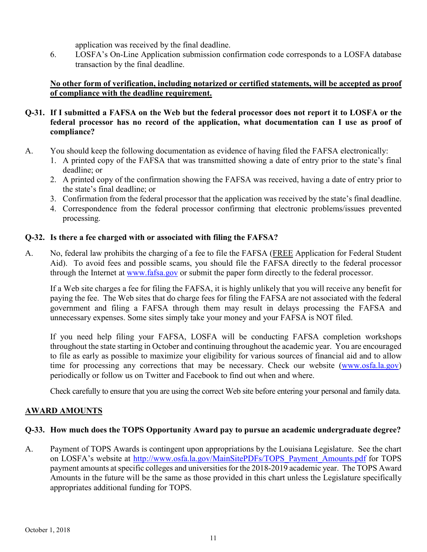application was received by the final deadline.

6. LOSFA's On-Line Application submission confirmation code corresponds to a LOSFA database transaction by the final deadline.

## **No other form of verification, including notarized or certified statements, will be accepted as proof of compliance with the deadline requirement.**

## **Q-31. If I submitted a FAFSA on the Web but the federal processor does not report it to LOSFA or the federal processor has no record of the application, what documentation can I use as proof of compliance?**

- A. You should keep the following documentation as evidence of having filed the FAFSA electronically:
	- 1. A printed copy of the FAFSA that was transmitted showing a date of entry prior to the state's final deadline; or
	- 2. A printed copy of the confirmation showing the FAFSA was received, having a date of entry prior to the state's final deadline; or
	- 3. Confirmation from the federal processor that the application was received by the state's final deadline.
	- 4. Correspondence from the federal processor confirming that electronic problems/issues prevented processing.

## **Q-32. Is there a fee charged with or associated with filing the FAFSA?**

A. No, federal law prohibits the charging of a fee to file the FAFSA (FREE Application for Federal Student Aid). To avoid fees and possible scams, you should file the FAFSA directly to the federal processor through the Internet at [www.fafsa.gov](http://www.fafsa.gov/) or submit the paper form directly to the federal processor.

If a Web site charges a fee for filing the FAFSA, it is highly unlikely that you will receive any benefit for paying the fee. The Web sites that do charge fees for filing the FAFSA are not associated with the federal government and filing a FAFSA through them may result in delays processing the FAFSA and unnecessary expenses. Some sites simply take your money and your FAFSA is NOT filed.

If you need help filing your FAFSA, LOSFA will be conducting FAFSA completion workshops throughout the state starting in October and continuing throughout the academic year. You are encouraged to file as early as possible to maximize your eligibility for various sources of financial aid and to allow time for processing any corrections that may be necessary. Check our website [\(www.osfa.la.gov\)](http://www.osfa.la.gov/) periodically or follow us on Twitter and Facebook to find out when and where.

Check carefully to ensure that you are using the correct Web site before entering your personal and family data.

## <span id="page-19-0"></span>**AWARD AMOUNTS**

## **Q-33. How much does the TOPS Opportunity Award pay to pursue an academic undergraduate degree?**

A. Payment of TOPS Awards is contingent upon appropriations by the Louisiana Legislature. See the chart on LOSFA's website at [http://www.osfa.la.gov/MainSitePDFs/TOPS\\_Payment\\_Amounts.pdf](http://www.osfa.la.gov/MainSitePDFs/TOPS_Payment_Amounts.pdf) for TOPS payment amounts at specific colleges and universities for the 2018-2019 academic year. The TOPS Award Amounts in the future will be the same as those provided in this chart unless the Legislature specifically appropriates additional funding for TOPS.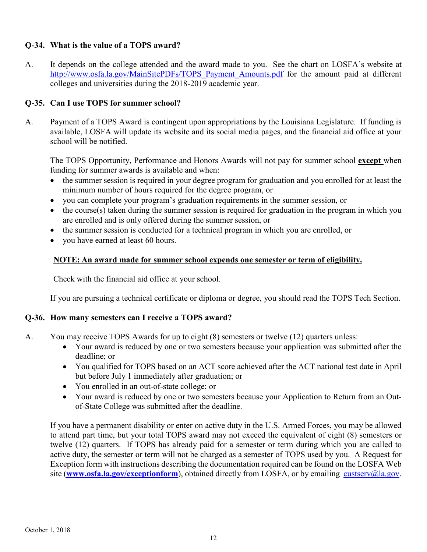## **Q-34. What is the value of a TOPS award?**

A. It depends on the college attended and the award made to you. See the chart on LOSFA's website at [http://www.osfa.la.gov/MainSitePDFs/TOPS\\_Payment\\_Amounts.pdf](http://www.osfa.la.gov/MainSitePDFs/TOPS_Payment_Amounts.pdf) for the amount paid at different colleges and universities during the 2018-2019 academic year.

## **Q-35. Can I use TOPS for summer school?**

A. Payment of a TOPS Award is contingent upon appropriations by the Louisiana Legislature. If funding is available, LOSFA will update its website and its social media pages, and the financial aid office at your school will be notified.

The TOPS Opportunity, Performance and Honors Awards will not pay for summer school **except** when funding for summer awards is available and when:

- the summer session is required in your degree program for graduation and you enrolled for at least the minimum number of hours required for the degree program, or
- you can complete your program's graduation requirements in the summer session, or
- the course(s) taken during the summer session is required for graduation in the program in which you are enrolled and is only offered during the summer session, or
- the summer session is conducted for a technical program in which you are enrolled, or
- you have earned at least 60 hours.

#### **NOTE: An award made for summer school expends one semester or term of eligibility.**

Check with the financial aid office at your school.

If you are pursuing a technical certificate or diploma or degree, you should read the TOPS Tech Section.

#### **Q-36. How many semesters can I receive a TOPS award?**

- A. You may receive TOPS Awards for up to eight (8) semesters or twelve (12) quarters unless:
	- Your award is reduced by one or two semesters because your application was submitted after the deadline; or
	- You qualified for TOPS based on an ACT score achieved after the ACT national test date in April but before July 1 immediately after graduation; or
	- You enrolled in an out-of-state college; or
	- Your award is reduced by one or two semesters because your Application to Return from an Outof-State College was submitted after the deadline.

If you have a permanent disability or enter on active duty in the U.S. Armed Forces, you may be allowed to attend part time, but your total TOPS award may not exceed the equivalent of eight (8) semesters or twelve (12) quarters. If TOPS has already paid for a semester or term during which you are called to active duty, the semester or term will not be charged as a semester of TOPS used by you. A Request for Exception form with instructions describing the documentation required can be found on the LOSFA Web site ([www.osfa.la.gov/exceptionform](http://www.osfa.la.gov/exceptionform)), obtained directly from LOSFA, or by emailing [custserv@la.gov.](mailto:custserv@la.gov)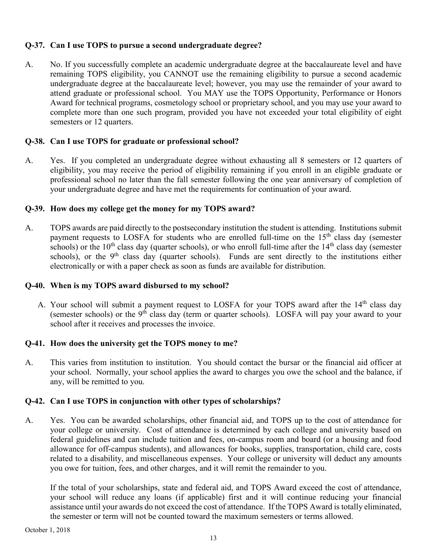## **Q-37. Can I use TOPS to pursue a second undergraduate degree?**

A. No. If you successfully complete an academic undergraduate degree at the baccalaureate level and have remaining TOPS eligibility, you CANNOT use the remaining eligibility to pursue a second academic undergraduate degree at the baccalaureate level; however, you may use the remainder of your award to attend graduate or professional school. You MAY use the TOPS Opportunity, Performance or Honors Award for technical programs, cosmetology school or proprietary school, and you may use your award to complete more than one such program, provided you have not exceeded your total eligibility of eight semesters or 12 quarters.

## **Q-38. Can I use TOPS for graduate or professional school?**

A. Yes. If you completed an undergraduate degree without exhausting all 8 semesters or 12 quarters of eligibility, you may receive the period of eligibility remaining if you enroll in an eligible graduate or professional school no later than the fall semester following the one year anniversary of completion of your undergraduate degree and have met the requirements for continuation of your award.

## **Q-39. How does my college get the money for my TOPS award?**

A. TOPS awards are paid directly to the postsecondary institution the student is attending. Institutions submit payment requests to LOSFA for students who are enrolled full-time on the  $15<sup>th</sup>$  class day (semester schools) or the 10<sup>th</sup> class day (quarter schools), or who enroll full-time after the  $14<sup>th</sup>$  class day (semester schools), or the 9<sup>th</sup> class day (quarter schools). Funds are sent directly to the institutions either electronically or with a paper check as soon as funds are available for distribution.

## **Q-40. When is my TOPS award disbursed to my school?**

A. Your school will submit a payment request to LOSFA for your TOPS award after the 14<sup>th</sup> class day (semester schools) or the  $9<sup>th</sup>$  class day (term or quarter schools). LOSFA will pay your award to your school after it receives and processes the invoice.

## **Q-41. How does the university get the TOPS money to me?**

A. This varies from institution to institution. You should contact the bursar or the financial aid officer at your school. Normally, your school applies the award to charges you owe the school and the balance, if any, will be remitted to you.

## **Q-42. Can I use TOPS in conjunction with other types of scholarships?**

A. Yes. You can be awarded scholarships, other financial aid, and TOPS up to the cost of attendance for your college or university. Cost of attendance is determined by each college and university based on federal guidelines and can include tuition and fees, on-campus room and board (or a housing and food allowance for off-campus students), and allowances for books, supplies, transportation, child care, costs related to a disability, and miscellaneous expenses. Your college or university will deduct any amounts you owe for tuition, fees, and other charges, and it will remit the remainder to you.

If the total of your scholarships, state and federal aid, and TOPS Award exceed the cost of attendance, your school will reduce any loans (if applicable) first and it will continue reducing your financial assistance until your awards do not exceed the cost of attendance. If the TOPS Award is totally eliminated, the semester or term will not be counted toward the maximum semesters or terms allowed.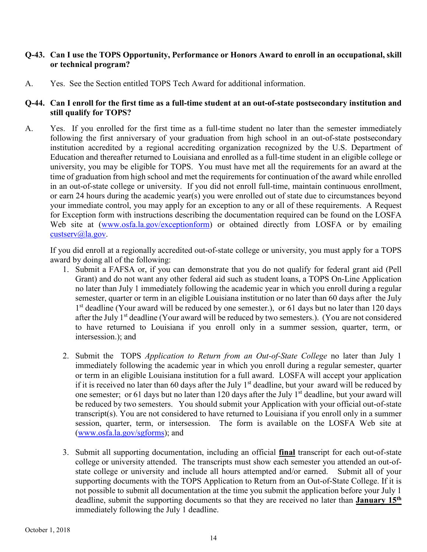#### **Q-43. Can I use the TOPS Opportunity, Performance or Honors Award to enroll in an occupational, skill or technical program?**

A. Yes. See the Section entitled TOPS Tech Award for additional information.

#### **Q-44. Can I enroll for the first time as a full-time student at an out-of-state postsecondary institution and still qualify for TOPS?**

A. Yes. If you enrolled for the first time as a full-time student no later than the semester immediately following the first anniversary of your graduation from high school in an out-of-state postsecondary institution accredited by a regional accrediting organization recognized by the U.S. Department of Education and thereafter returned to Louisiana and enrolled as a full-time student in an eligible college or university, you may be eligible for TOPS. You must have met all the requirements for an award at the time of graduation from high school and met the requirements for continuation of the award while enrolled in an out-of-state college or university. If you did not enroll full-time, maintain continuous enrollment, or earn 24 hours during the academic year(s) you were enrolled out of state due to circumstances beyond your immediate control, you may apply for an exception to any or all of these requirements. A Request for Exception form with instructions describing the documentation required can be found on the LOSFA Web site at [\(www.osfa.la.gov/exceptionform\)](http://www.osfa.la.gov/exceptionform) or obtained directly from LOSFA or by emailing [custserv@la.gov.](mailto:custserv@la.gov)

If you did enroll at a regionally accredited out-of-state college or university, you must apply for a TOPS award by doing all of the following:

- 1. Submit a FAFSA or, if you can demonstrate that you do not qualify for federal grant aid (Pell Grant) and do not want any other federal aid such as student loans, a TOPS On-Line Application no later than July 1 immediately following the academic year in which you enroll during a regular semester, quarter or term in an eligible Louisiana institution or no later than 60 days after the July 1<sup>st</sup> deadline (Your award will be reduced by one semester.), or 61 days but no later than 120 days after the July 1<sup>st</sup> deadline (Your award will be reduced by two semesters.). (You are not considered to have returned to Louisiana if you enroll only in a summer session, quarter, term, or intersession.); and
- 2. Submit the TOPS *Application to Return from an Out-of-State College* no later than July 1 immediately following the academic year in which you enroll during a regular semester, quarter or term in an eligible Louisiana institution for a full award. LOSFA will accept your application if it is received no later than 60 days after the July 1<sup>st</sup> deadline, but your award will be reduced by one semester; or 61 days but no later than 120 days after the July 1<sup>st</sup> deadline, but your award will be reduced by two semesters. You should submit your Application with your official out-of-state transcript(s). You are not considered to have returned to Louisiana if you enroll only in a summer session, quarter, term, or intersession. The form is available on the LOSFA Web site at [\(www.osfa.la.gov/sgforms\)](http://www.osfa.la.gov/sgforms); and
- 3. Submit all supporting documentation, including an official **final** transcript for each out-of-state college or university attended. The transcripts must show each semester you attended an out-ofstate college or university and include all hours attempted and/or earned. Submit all of your supporting documents with the TOPS Application to Return from an Out-of-State College. If it is not possible to submit all documentation at the time you submit the application before your July 1 deadline, submit the supporting documents so that they are received no later than **January 15th** immediately following the July 1 deadline.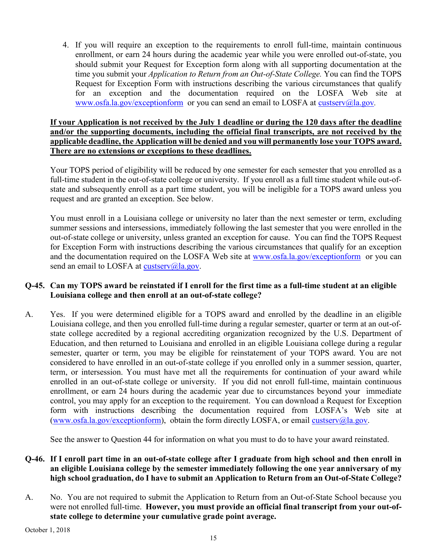4. If you will require an exception to the requirements to enroll full-time, maintain continuous enrollment, or earn 24 hours during the academic year while you were enrolled out-of-state, you should submit your Request for Exception form along with all supporting documentation at the time you submit your *Application to Return from an Out-of-State College.* You can find the TOPS Request for Exception Form with instructions describing the various circumstances that qualify for an exception and the documentation required on the LOSFA Web site at [www.osfa.la.gov/exceptionform](http://www.osfa.la.gov/exceptionform) or you can send an email to LOSFA at [custserv@la.gov](mailto:custserv@la.gov)*.* 

## **If your Application is not received by the July 1 deadline or during the 120 days after the deadline and/or the supporting documents, including the official final transcripts, are not received by the applicable deadline, the Application will be denied and you will permanently lose your TOPS award. There are no extensions or exceptions to these deadlines.**

Your TOPS period of eligibility will be reduced by one semester for each semester that you enrolled as a full-time student in the out-of-state college or university. If you enroll as a full time student while out-ofstate and subsequently enroll as a part time student, you will be ineligible for a TOPS award unless you request and are granted an exception. See below.

You must enroll in a Louisiana college or university no later than the next semester or term, excluding summer sessions and intersessions, immediately following the last semester that you were enrolled in the out-of-state college or university, unless granted an exception for cause. You can find the TOPS Request for Exception Form with instructions describing the various circumstances that qualify for an exception and the documentation required on the LOSFA Web site at [www.osfa.la.gov/exceptionform](http://www.osfa.la.gov/exceptionform) or you can send an email to LOSFA at [custserv@la.gov.](mailto:custserv@la.gov)

## **Q-45. Can my TOPS award be reinstated if I enroll for the first time as a full-time student at an eligible Louisiana college and then enroll at an out-of-state college?**

A. Yes. If you were determined eligible for a TOPS award and enrolled by the deadline in an eligible Louisiana college, and then you enrolled full-time during a regular semester, quarter or term at an out-ofstate college accredited by a regional accrediting organization recognized by the U.S. Department of Education, and then returned to Louisiana and enrolled in an eligible Louisiana college during a regular semester, quarter or term, you may be eligible for reinstatement of your TOPS award. You are not considered to have enrolled in an out-of-state college if you enrolled only in a summer session, quarter, term, or intersession. You must have met all the requirements for continuation of your award while enrolled in an out-of-state college or university. If you did not enroll full-time, maintain continuous enrollment, or earn 24 hours during the academic year due to circumstances beyond your immediate control, you may apply for an exception to the requirement. You can download a Request for Exception form with instructions describing the documentation required from LOSFA's Web site at [\(www.osfa.la.gov/exceptionform\)](http://www.osfa.la.gov/exceptionform), obtain the form directly LOSFA, or email [custserv@la.gov.](mailto:custserv@la.gov)

See the answer to Question 44 for information on what you must to do to have your award reinstated.

## **Q-46. If I enroll part time in an out-of-state college after I graduate from high school and then enroll in an eligible Louisiana college by the semester immediately following the one year anniversary of my high school graduation, do I have to submit an Application to Return from an Out-of-State College?**

A. No.You are not required to submit the Application to Return from an Out-of-State School because you were not enrolled full-time. **However, you must provide an official final transcript from your out-ofstate college to determine your cumulative grade point average.**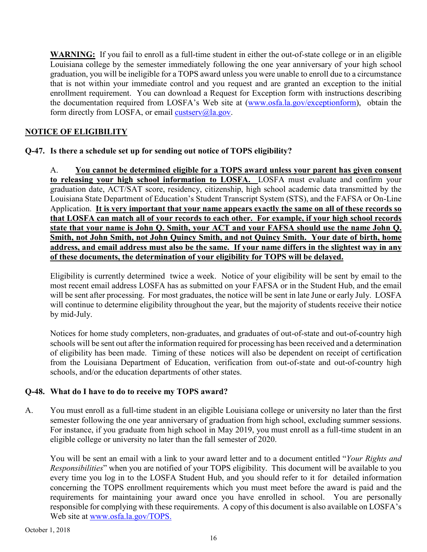**WARNING:** If you fail to enroll as a full-time student in either the out-of-state college or in an eligible Louisiana college by the semester immediately following the one year anniversary of your high school graduation, you will be ineligible for a TOPS award unless you were unable to enroll due to a circumstance that is not within your immediate control and you request and are granted an exception to the initial enrollment requirement. You can download a Request for Exception form with instructions describing the documentation required from LOSFA's Web site at [\(www.osfa.la.gov/exceptionform\)](http://www.osfa.la.gov/exceptionform), obtain the form directly from LOSFA, or email [custserv@la.gov.](mailto:custserv@la.gov)

## <span id="page-24-0"></span>**NOTICE OF ELIGIBILITY**

## **Q-47. Is there a schedule set up for sending out notice of TOPS eligibility?**

A. **You cannot be determined eligible for a TOPS award unless your parent has given consent to releasing your high school information to LOSFA.** LOSFA must evaluate and confirm your graduation date, ACT/SAT score, residency, citizenship, high school academic data transmitted by the Louisiana State Department of Education's Student Transcript System (STS), and the FAFSA or On-Line Application. **It is very important that your name appears exactly the same on all of these records so that LOSFA can match all of your records to each other. For example, if your high school records state that your name is John Q. Smith, your ACT and your FAFSA should use the name John Q. Smith, not John Smith, not John Quincy Smith, and not Quincy Smith. Your date of birth, home address, and email address must also be the same. If your name differs in the slightest way in any of these documents, the determination of your eligibility for TOPS will be delayed.**

Eligibility is currently determined twice a week. Notice of your eligibility will be sent by email to the most recent email address LOSFA has as submitted on your FAFSA or in the Student Hub, and the email will be sent after processing. For most graduates, the notice will be sent in late June or early July. LOSFA will continue to determine eligibility throughout the year, but the majority of students receive their notice by mid-July.

Notices for home study completers, non-graduates, and graduates of out-of-state and out-of-country high schools will be sent out after the information required for processing has been received and a determination of eligibility has been made. Timing of these notices will also be dependent on receipt of certification from the Louisiana Department of Education, verification from out-of-state and out-of-country high schools, and/or the education departments of other states.

## **Q-48. What do I have to do to receive my TOPS award?**

A. You must enroll as a full-time student in an eligible Louisiana college or university no later than the first semester following the one year anniversary of graduation from high school, excluding summer sessions. For instance, if you graduate from high school in May 2019, you must enroll as a full-time student in an eligible college or university no later than the fall semester of 2020.

You will be sent an email with a link to your award letter and to a document entitled "*Your Rights and Responsibilities*" when you are notified of your TOPS eligibility. This document will be available to you every time you log in to the LOSFA Student Hub, and you should refer to it for detailed information concerning the TOPS enrollment requirements which you must meet before the award is paid and the requirements for maintaining your award once you have enrolled in school. You are personally responsible for complying with these requirements. A copy of this document is also available on LOSFA's Web site at [www.osfa.la.gov/TOPS.](http://www.osfa.la.gov/TOPS)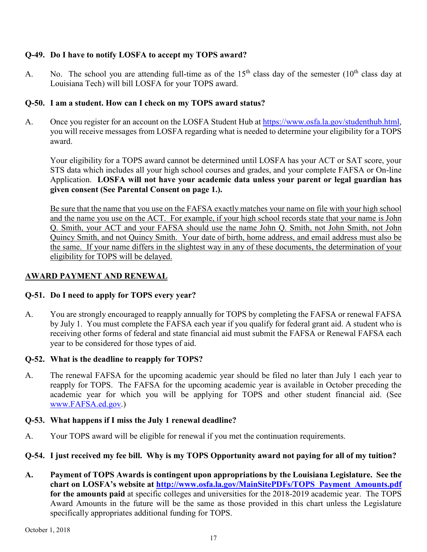## **Q-49. Do I have to notify LOSFA to accept my TOPS award?**

A. No. The school you are attending full-time as of the  $15<sup>th</sup>$  class day of the semester ( $10<sup>th</sup>$  class day at Louisiana Tech) will bill LOSFA for your TOPS award.

## **Q-50. I am a student. How can I check on my TOPS award status?**

A. Once you register for an account on the LOSFA Student Hub at https://www.osfa.la.gov/studenthub.html, you will receive messages from LOSFA regarding what is needed to determine your eligibility for a TOPS award.

Your eligibility for a TOPS award cannot be determined until LOSFA has your ACT or SAT score, your STS data which includes all your high school courses and grades, and your complete FAFSA or On-line Application. **LOSFA will not have your academic data unless your parent or legal guardian has given consent (See Parental Consent on page 1.).**

Be sure that the name that you use on the FAFSA exactly matches your name on file with your high school and the name you use on the ACT. For example, if your high school records state that your name is John Q. Smith, your ACT and your FAFSA should use the name John Q. Smith, not John Smith, not John Quincy Smith, and not Quincy Smith. Your date of birth, home address, and email address must also be the same. If your name differs in the slightest way in any of these documents, the determination of your eligibility for TOPS will be delayed.

## <span id="page-25-0"></span>**AWARD PAYMENT AND RENEWAL**

## **Q-51. Do I need to apply for TOPS every year?**

A. You are strongly encouraged to reapply annually for TOPS by completing the FAFSA or renewal FAFSA by July 1. You must complete the FAFSA each year if you qualify for federal grant aid. A student who is receiving other forms of federal and state financial aid must submit the FAFSA or Renewal FAFSA each year to be considered for those types of aid.

## **Q-52. What is the deadline to reapply for TOPS?**

A. The renewal FAFSA for the upcoming academic year should be filed no later than July 1 each year to reapply for TOPS. The FAFSA for the upcoming academic year is available in October preceding the academic year for which you will be applying for TOPS and other student financial aid. (See [www.FAFSA.ed.gov.](http://www.fafsa.ed.gov/))

## **Q-53. What happens if I miss the July 1 renewal deadline?**

A. Your TOPS award will be eligible for renewal if you met the continuation requirements.

## **Q-54. I just received my fee bill. Why is my TOPS Opportunity award not paying for all of my tuition?**

**A. Payment of TOPS Awards is contingent upon appropriations by the Louisiana Legislature. See the chart on LOSFA's website at [http://www.osfa.la.gov/MainSitePDFs/TOPS\\_Payment\\_Amounts.pdf](http://www.osfa.la.gov/MainSitePDFs/TOPS_Payment_Amounts.pdf) for the amounts paid** at specific colleges and universities for the 2018-2019 academic year. The TOPS Award Amounts in the future will be the same as those provided in this chart unless the Legislature specifically appropriates additional funding for TOPS.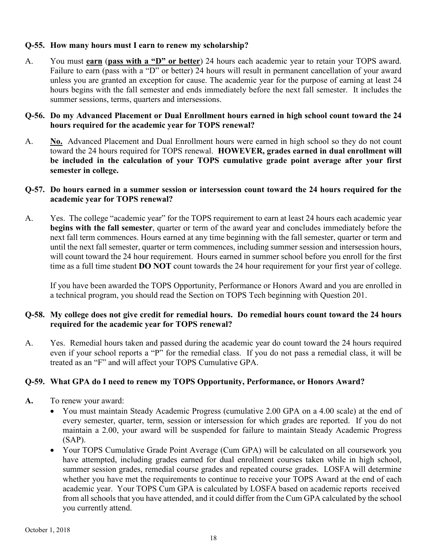#### **Q-55. How many hours must I earn to renew my scholarship?**

A. You must **earn** (**pass with a "D" or better**) 24 hours each academic year to retain your TOPS award. Failure to earn (pass with a "D" or better) 24 hours will result in permanent cancellation of your award unless you are granted an exception for cause. The academic year for the purpose of earning at least 24 hours begins with the fall semester and ends immediately before the next fall semester. It includes the summer sessions, terms, quarters and intersessions.

#### **Q-56. Do my Advanced Placement or Dual Enrollment hours earned in high school count toward the 24 hours required for the academic year for TOPS renewal?**

A. **No.** Advanced Placement and Dual Enrollment hours were earned in high school so they do not count toward the 24 hours required for TOPS renewal. **HOWEVER, grades earned in dual enrollment will be included in the calculation of your TOPS cumulative grade point average after your first semester in college.** 

## **Q-57. Do hours earned in a summer session or intersession count toward the 24 hours required for the academic year for TOPS renewal?**

A. Yes. The college "academic year" for the TOPS requirement to earn at least 24 hours each academic year **begins with the fall semester**, quarter or term of the award year and concludes immediately before the next fall term commences. Hours earned at any time beginning with the fall semester, quarter or term and until the next fall semester, quarter or term commences, including summer session and intersession hours, will count toward the 24 hour requirement. Hours earned in summer school before you enroll for the first time as a full time student **DO NOT** count towards the 24 hour requirement for your first year of college.

If you have been awarded the TOPS Opportunity, Performance or Honors Award and you are enrolled in a technical program, you should read the Section on TOPS Tech beginning with Question 201.

## **Q-58. My college does not give credit for remedial hours. Do remedial hours count toward the 24 hours required for the academic year for TOPS renewal?**

A. Yes. Remedial hours taken and passed during the academic year do count toward the 24 hours required even if your school reports a "P" for the remedial class. If you do not pass a remedial class, it will be treated as an "F" and will affect your TOPS Cumulative GPA.

## **Q-59. What GPA do I need to renew my TOPS Opportunity, Performance, or Honors Award?**

- **A.** To renew your award:
	- You must maintain Steady Academic Progress (cumulative 2.00 GPA on a 4.00 scale) at the end of every semester, quarter, term, session or intersession for which grades are reported. If you do not maintain a 2.00, your award will be suspended for failure to maintain Steady Academic Progress (SAP).
	- Your TOPS Cumulative Grade Point Average (Cum GPA) will be calculated on all coursework you have attempted, including grades earned for dual enrollment courses taken while in high school, summer session grades, remedial course grades and repeated course grades. LOSFA will determine whether you have met the requirements to continue to receive your TOPS Award at the end of each academic year. Your TOPS Cum GPA is calculated by LOSFA based on academic reports received from all schools that you have attended, and it could differ from the Cum GPA calculated by the school you currently attend.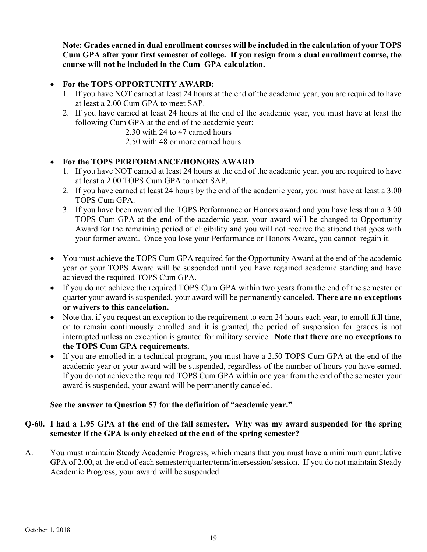**Note: Grades earned in dual enrollment courses will be included in the calculation of your TOPS Cum GPA after your first semester of college. If you resign from a dual enrollment course, the course will not be included in the Cum GPA calculation.**

## • **For the TOPS OPPORTUNITY AWARD:**

- 1. If you have NOT earned at least 24 hours at the end of the academic year, you are required to have at least a 2.00 Cum GPA to meet SAP.
- 2. If you have earned at least 24 hours at the end of the academic year, you must have at least the following Cum GPA at the end of the academic year:
	- 2.30 with 24 to 47 earned hours
	- 2.50 with 48 or more earned hours

## • **For the TOPS PERFORMANCE/HONORS AWARD**

- 1. If you have NOT earned at least 24 hours at the end of the academic year, you are required to have at least a 2.00 TOPS Cum GPA to meet SAP.
- 2. If you have earned at least 24 hours by the end of the academic year, you must have at least a 3.00 TOPS Cum GPA.
- 3. If you have been awarded the TOPS Performance or Honors award and you have less than a 3.00 TOPS Cum GPA at the end of the academic year, your award will be changed to Opportunity Award for the remaining period of eligibility and you will not receive the stipend that goes with your former award. Once you lose your Performance or Honors Award, you cannot regain it.
- You must achieve the TOPS Cum GPA required for the Opportunity Award at the end of the academic year or your TOPS Award will be suspended until you have regained academic standing and have achieved the required TOPS Cum GPA.
- If you do not achieve the required TOPS Cum GPA within two years from the end of the semester or quarter your award is suspended, your award will be permanently canceled. **There are no exceptions or waivers to this cancelation.**
- Note that if you request an exception to the requirement to earn 24 hours each year, to enroll full time, or to remain continuously enrolled and it is granted, the period of suspension for grades is not interrupted unless an exception is granted for military service. **Note that there are no exceptions to the TOPS Cum GPA requirements.**
- If you are enrolled in a technical program, you must have a 2.50 TOPS Cum GPA at the end of the academic year or your award will be suspended, regardless of the number of hours you have earned. If you do not achieve the required TOPS Cum GPA within one year from the end of the semester your award is suspended, your award will be permanently canceled.

## **See the answer to Question 57 for the definition of "academic year."**

## **Q-60. I had a 1.95 GPA at the end of the fall semester. Why was my award suspended for the spring semester if the GPA is only checked at the end of the spring semester?**

A. You must maintain Steady Academic Progress, which means that you must have a minimum cumulative GPA of 2.00, at the end of each semester/quarter/term/intersession/session. If you do not maintain Steady Academic Progress, your award will be suspended.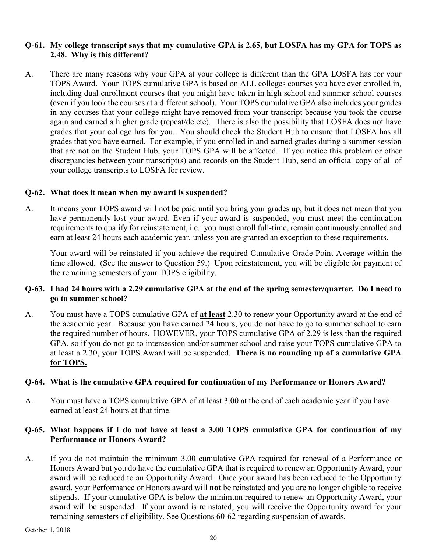#### **Q-61. My college transcript says that my cumulative GPA is 2.65, but LOSFA has my GPA for TOPS as 2.48. Why is this different?**

A. There are many reasons why your GPA at your college is different than the GPA LOSFA has for your TOPS Award. Your TOPS cumulative GPA is based on ALL colleges courses you have ever enrolled in, including dual enrollment courses that you might have taken in high school and summer school courses (even if you took the courses at a different school). Your TOPS cumulative GPA also includes your grades in any courses that your college might have removed from your transcript because you took the course again and earned a higher grade (repeat/delete). There is also the possibility that LOSFA does not have grades that your college has for you. You should check the Student Hub to ensure that LOSFA has all grades that you have earned. For example, if you enrolled in and earned grades during a summer session that are not on the Student Hub, your TOPS GPA will be affected. If you notice this problem or other discrepancies between your transcript(s) and records on the Student Hub, send an official copy of all of your college transcripts to LOSFA for review.

#### **Q-62. What does it mean when my award is suspended?**

A. It means your TOPS award will not be paid until you bring your grades up, but it does not mean that you have permanently lost your award. Even if your award is suspended, you must meet the continuation requirements to qualify for reinstatement, i.e.: you must enroll full-time, remain continuously enrolled and earn at least 24 hours each academic year, unless you are granted an exception to these requirements.

Your award will be reinstated if you achieve the required Cumulative Grade Point Average within the time allowed. (See the answer to Question 59.) Upon reinstatement, you will be eligible for payment of the remaining semesters of your TOPS eligibility.

#### **Q-63. I had 24 hours with a 2.29 cumulative GPA at the end of the spring semester/quarter. Do I need to go to summer school?**

A. You must have a TOPS cumulative GPA of **at least** 2.30 to renew your Opportunity award at the end of the academic year. Because you have earned 24 hours, you do not have to go to summer school to earn the required number of hours. HOWEVER, your TOPS cumulative GPA of 2.29 is less than the required GPA, so if you do not go to intersession and/or summer school and raise your TOPS cumulative GPA to at least a 2.30, your TOPS Award will be suspended. **There is no rounding up of a cumulative GPA for TOPS.**

#### **Q-64. What is the cumulative GPA required for continuation of my Performance or Honors Award?**

A. You must have a TOPS cumulative GPA of at least 3.00 at the end of each academic year if you have earned at least 24 hours at that time.

#### **Q-65. What happens if I do not have at least a 3.00 TOPS cumulative GPA for continuation of my Performance or Honors Award?**

A. If you do not maintain the minimum 3.00 cumulative GPA required for renewal of a Performance or Honors Award but you do have the cumulative GPA that is required to renew an Opportunity Award, your award will be reduced to an Opportunity Award. Once your award has been reduced to the Opportunity award, your Performance or Honors award will **not** be reinstated and you are no longer eligible to receive stipends. If your cumulative GPA is below the minimum required to renew an Opportunity Award, your award will be suspended. If your award is reinstated, you will receive the Opportunity award for your remaining semesters of eligibility. See Questions 60-62 regarding suspension of awards.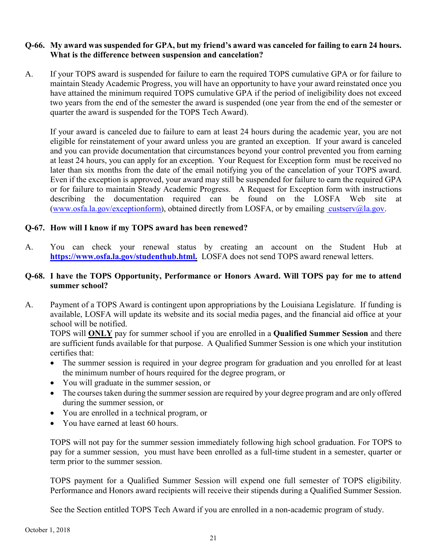#### **Q-66. My award was suspended for GPA, but my friend's award was canceled for failing to earn 24 hours. What is the difference between suspension and cancelation?**

A. If your TOPS award is suspended for failure to earn the required TOPS cumulative GPA or for failure to maintain Steady Academic Progress, you will have an opportunity to have your award reinstated once you have attained the minimum required TOPS cumulative GPA if the period of ineligibility does not exceed two years from the end of the semester the award is suspended (one year from the end of the semester or quarter the award is suspended for the TOPS Tech Award).

If your award is canceled due to failure to earn at least 24 hours during the academic year, you are not eligible for reinstatement of your award unless you are granted an exception. If your award is canceled and you can provide documentation that circumstances beyond your control prevented you from earning at least 24 hours, you can apply for an exception. Your Request for Exception form must be received no later than six months from the date of the email notifying you of the cancelation of your TOPS award. Even if the exception is approved, your award may still be suspended for failure to earn the required GPA or for failure to maintain Steady Academic Progress. A Request for Exception form with instructions describing the documentation required can be found on the LOSFA Web site at [\(www.osfa.la.gov/exceptionform\)](http://www.osfa.la.gov/exceptionform), obtained directly from LOSFA, or by emailing [custserv@la.gov.](mailto:custserv@osfa.la.gov)

#### **Q-67. How will I know if my TOPS award has been renewed?**

A. You can check your renewal status by creating an account on the Student Hub at **https://www.osfa.la.gov/studenthub.html.** LOSFA does not send TOPS award renewal letters.

#### **Q-68. I have the TOPS Opportunity, Performance or Honors Award. Will TOPS pay for me to attend summer school?**

A. Payment of a TOPS Award is contingent upon appropriations by the Louisiana Legislature. If funding is available, LOSFA will update its website and its social media pages, and the financial aid office at your school will be notified.

TOPS will **ONLY** pay for summer school if you are enrolled in a **Qualified Summer Session** and there are sufficient funds available for that purpose. A Qualified Summer Session is one which your institution certifies that:

- The summer session is required in your degree program for graduation and you enrolled for at least the minimum number of hours required for the degree program, or
- You will graduate in the summer session, or
- The courses taken during the summer session are required by your degree program and are only offered during the summer session, or
- You are enrolled in a technical program, or
- You have earned at least 60 hours.

TOPS will not pay for the summer session immediately following high school graduation. For TOPS to pay for a summer session, you must have been enrolled as a full-time student in a semester, quarter or term prior to the summer session.

TOPS payment for a Qualified Summer Session will expend one full semester of TOPS eligibility. Performance and Honors award recipients will receive their stipends during a Qualified Summer Session.

See the Section entitled TOPS Tech Award if you are enrolled in a non-academic program of study.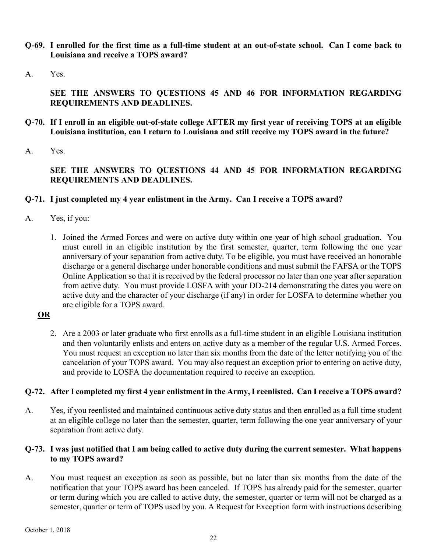- **Q-69. I enrolled for the first time as a full-time student at an out-of-state school. Can I come back to Louisiana and receive a TOPS award?**
- A. Yes.

## **SEE THE ANSWERS TO QUESTIONS 45 AND 46 FOR INFORMATION REGARDING REQUIREMENTS AND DEADLINES.**

- **Q-70. If I enroll in an eligible out-of-state college AFTER my first year of receiving TOPS at an eligible Louisiana institution, can I return to Louisiana and still receive my TOPS award in the future?**
- A. Yes.

**SEE THE ANSWERS TO QUESTIONS 44 AND 45 FOR INFORMATION REGARDING REQUIREMENTS AND DEADLINES.**

## **Q-71. I just completed my 4 year enlistment in the Army. Can I receive a TOPS award?**

- A. Yes, if you:
	- 1. Joined the Armed Forces and were on active duty within one year of high school graduation. You must enroll in an eligible institution by the first semester, quarter, term following the one year anniversary of your separation from active duty. To be eligible, you must have received an honorable discharge or a general discharge under honorable conditions and must submit the FAFSA or the TOPS Online Application so that it is received by the federal processor no later than one year after separation from active duty. You must provide LOSFA with your DD-214 demonstrating the dates you were on active duty and the character of your discharge (if any) in order for LOSFA to determine whether you are eligible for a TOPS award.

## **OR**

2. Are a 2003 or later graduate who first enrolls as a full-time student in an eligible Louisiana institution and then voluntarily enlists and enters on active duty as a member of the regular U.S. Armed Forces. You must request an exception no later than six months from the date of the letter notifying you of the cancelation of your TOPS award. You may also request an exception prior to entering on active duty, and provide to LOSFA the documentation required to receive an exception.

## **Q-72. After I completed my first 4 year enlistment in the Army, I reenlisted. Can I receive a TOPS award?**

A. Yes, if you reenlisted and maintained continuous active duty status and then enrolled as a full time student at an eligible college no later than the semester, quarter, term following the one year anniversary of your separation from active duty.

## **Q-73. I was just notified that I am being called to active duty during the current semester. What happens to my TOPS award?**

A. You must request an exception as soon as possible, but no later than six months from the date of the notification that your TOPS award has been canceled. If TOPS has already paid for the semester, quarter or term during which you are called to active duty, the semester, quarter or term will not be charged as a semester, quarter or term of TOPS used by you. A Request for Exception form with instructions describing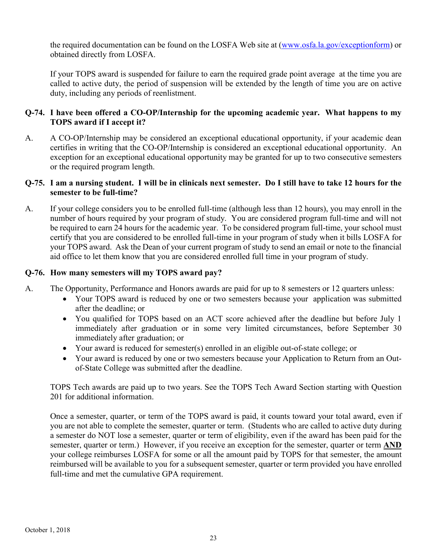the required documentation can be found on the LOSFA Web site at [\(www.osfa.la.gov/exceptionform\)](http://www.osfa.la.gov/exceptionform) or obtained directly from LOSFA.

If your TOPS award is suspended for failure to earn the required grade point average at the time you are called to active duty, the period of suspension will be extended by the length of time you are on active duty, including any periods of reenlistment.

## **Q-74. I have been offered a CO-OP/Internship for the upcoming academic year. What happens to my TOPS award if I accept it?**

A. A CO-OP/Internship may be considered an exceptional educational opportunity, if your academic dean certifies in writing that the CO-OP/Internship is considered an exceptional educational opportunity. An exception for an exceptional educational opportunity may be granted for up to two consecutive semesters or the required program length.

## **Q-75. I am a nursing student. I will be in clinicals next semester. Do I still have to take 12 hours for the semester to be full-time?**

A. If your college considers you to be enrolled full-time (although less than 12 hours), you may enroll in the number of hours required by your program of study. You are considered program full-time and will not be required to earn 24 hours for the academic year. To be considered program full-time, your school must certify that you are considered to be enrolled full-time in your program of study when it bills LOSFA for your TOPS award. Ask the Dean of your current program of study to send an email or note to the financial aid office to let them know that you are considered enrolled full time in your program of study.

## **Q-76. How many semesters will my TOPS award pay?**

- A. The Opportunity, Performance and Honors awards are paid for up to 8 semesters or 12 quarters unless:
	- Your TOPS award is reduced by one or two semesters because your application was submitted after the deadline; or
	- You qualified for TOPS based on an ACT score achieved after the deadline but before July 1 immediately after graduation or in some very limited circumstances, before September 30 immediately after graduation; or
	- Your award is reduced for semester(s) enrolled in an eligible out-of-state college; or
	- Your award is reduced by one or two semesters because your Application to Return from an Outof-State College was submitted after the deadline.

TOPS Tech awards are paid up to two years. See the TOPS Tech Award Section starting with Question 201 for additional information.

Once a semester, quarter, or term of the TOPS award is paid, it counts toward your total award, even if you are not able to complete the semester, quarter or term. (Students who are called to active duty during a semester do NOT lose a semester, quarter or term of eligibility, even if the award has been paid for the semester, quarter or term.) However, if you receive an exception for the semester, quarter or term **AND** your college reimburses LOSFA for some or all the amount paid by TOPS for that semester, the amount reimbursed will be available to you for a subsequent semester, quarter or term provided you have enrolled full-time and met the cumulative GPA requirement.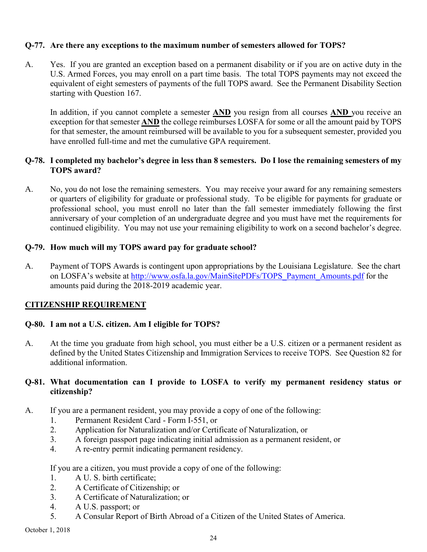## **Q-77. Are there any exceptions to the maximum number of semesters allowed for TOPS?**

A. Yes. If you are granted an exception based on a permanent disability or if you are on active duty in the U.S. Armed Forces, you may enroll on a part time basis. The total TOPS payments may not exceed the equivalent of eight semesters of payments of the full TOPS award. See the Permanent Disability Section starting with Question 167.

In addition, if you cannot complete a semester **AND** you resign from all courses **AND** you receive an exception for that semester **AND** the college reimburses LOSFA for some or all the amount paid by TOPS for that semester, the amount reimbursed will be available to you for a subsequent semester, provided you have enrolled full-time and met the cumulative GPA requirement.

## **Q-78. I completed my bachelor's degree in less than 8 semesters. Do I lose the remaining semesters of my TOPS award?**

A. No, you do not lose the remaining semesters. You may receive your award for any remaining semesters or quarters of eligibility for graduate or professional study. To be eligible for payments for graduate or professional school, you must enroll no later than the fall semester immediately following the first anniversary of your completion of an undergraduate degree and you must have met the requirements for continued eligibility. You may not use your remaining eligibility to work on a second bachelor's degree.

#### **Q-79. How much will my TOPS award pay for graduate school?**

A. Payment of TOPS Awards is contingent upon appropriations by the Louisiana Legislature. See the chart on LOSFA's website at [http://www.osfa.la.gov/MainSitePDFs/TOPS\\_Payment\\_Amounts.pdf](http://www.osfa.la.gov/MainSitePDFs/TOPS_Payment_Amounts.pdf) for the amounts paid during the 2018-2019 academic year.

## <span id="page-32-0"></span>**CITIZENSHIP REQUIREMENT**

## **Q-80. I am not a U.S. citizen. Am I eligible for TOPS?**

A. At the time you graduate from high school, you must either be a U.S. citizen or a permanent resident as defined by the United States Citizenship and Immigration Services to receive TOPS. See Question 82 for additional information.

#### **Q-81. What documentation can I provide to LOSFA to verify my permanent residency status or citizenship?**

- A. If you are a permanent resident, you may provide a copy of one of the following:
	- 1. Permanent Resident Card Form I-551, or
	- 2. Application for Naturalization and/or Certificate of Naturalization, or
	- 3. A foreign passport page indicating initial admission as a permanent resident, or
	- 4. A re-entry permit indicating permanent residency.

#### If you are a citizen, you must provide a copy of one of the following:

- 1. A U. S. birth certificate;
- 2. A Certificate of Citizenship; or
- 3. A Certificate of Naturalization; or
- 4. A U.S. passport; or
- 5. A Consular Report of Birth Abroad of a Citizen of the United States of America.

October 1, 2018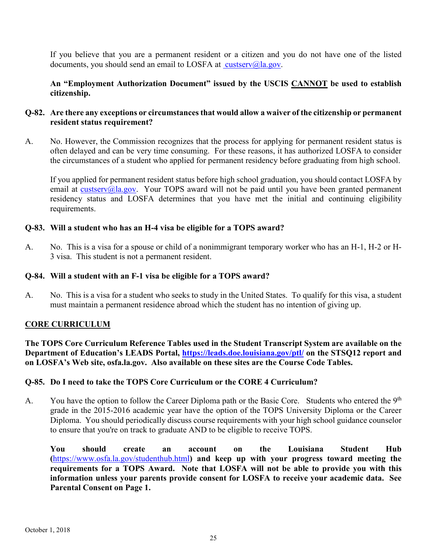If you believe that you are a permanent resident or a citizen and you do not have one of the listed documents, you should send an email to LOSFA at [custserv@la.gov.](mailto:custserv@osfa.la.gov)

**An "Employment Authorization Document" issued by the USCIS CANNOT be used to establish citizenship.**

## **Q-82. Are there any exceptions or circumstances that would allow a waiver of the citizenship or permanent resident status requirement?**

A. No. However, the Commission recognizes that the process for applying for permanent resident status is often delayed and can be very time consuming. For these reasons, it has authorized LOSFA to consider the circumstances of a student who applied for permanent residency before graduating from high school.

If you applied for permanent resident status before high school graduation, you should contact LOSFA by email at [custserv@la.gov.](mailto:custserv@la.gov) Your TOPS award will not be paid until you have been granted permanent residency status and LOSFA determines that you have met the initial and continuing eligibility requirements.

## **Q-83. Will a student who has an H-4 visa be eligible for a TOPS award?**

A. No. This is a visa for a spouse or child of a nonimmigrant temporary worker who has an H-1, H-2 or H-3 visa. This student is not a permanent resident.

## **Q-84. Will a student with an F-1 visa be eligible for a TOPS award?**

A. No. This is a visa for a student who seeks to study in the United States. To qualify for this visa, a student must maintain a permanent residence abroad which the student has no intention of giving up.

## <span id="page-33-0"></span>**CORE CURRICULUM**

**The TOPS Core Curriculum Reference Tables used in the Student Transcript System are available on the Department of Education's LEADS Portal,<https://leads.doe.louisiana.gov/ptl/> on the STSQ12 report and on LOSFA's Web site, osfa.la.gov. Also available on these sites are the Course Code Tables.**

## **Q-85. Do I need to take the TOPS Core Curriculum or the CORE 4 Curriculum?**

A. You have the option to follow the Career Diploma path or the Basic Core. Students who entered the  $9<sup>th</sup>$ grade in the 2015-2016 academic year have the option of the TOPS University Diploma or the Career Diploma. You should periodically discuss course requirements with your high school guidance counselor to ensure that you're on track to graduate AND to be eligible to receive TOPS.

**You should create an account on the Louisiana Student Hub (**https://www.osfa.la.gov/studenthub.html**) and keep up with your progress toward meeting the requirements for a TOPS Award. Note that LOSFA will not be able to provide you with this information unless your parents provide consent for LOSFA to receive your academic data. See Parental Consent on Page 1.**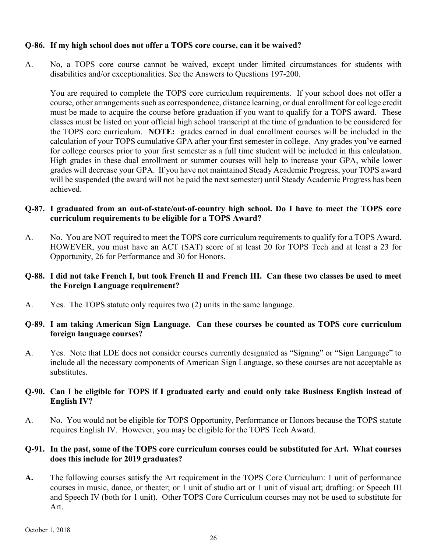#### **Q-86. If my high school does not offer a TOPS core course, can it be waived?**

A. No, a TOPS core course cannot be waived, except under limited circumstances for students with disabilities and/or exceptionalities. See the Answers to Questions 197-200.

 You are required to complete the TOPS core curriculum requirements. If your school does not offer a course, other arrangements such as correspondence, distance learning, or dual enrollment for college credit must be made to acquire the course before graduation if you want to qualify for a TOPS award. These classes must be listed on your official high school transcript at the time of graduation to be considered for the TOPS core curriculum. **NOTE:** grades earned in dual enrollment courses will be included in the calculation of your TOPS cumulative GPA after your first semester in college. Any grades you've earned for college courses prior to your first semester as a full time student will be included in this calculation. High grades in these dual enrollment or summer courses will help to increase your GPA, while lower grades will decrease your GPA. If you have not maintained Steady Academic Progress, your TOPS award will be suspended (the award will not be paid the next semester) until Steady Academic Progress has been achieved.

## **Q-87. I graduated from an out-of-state/out-of-country high school. Do I have to meet the TOPS core curriculum requirements to be eligible for a TOPS Award?**

A. No. You are NOT required to meet the TOPS core curriculum requirements to qualify for a TOPS Award. HOWEVER, you must have an ACT (SAT) score of at least 20 for TOPS Tech and at least a 23 for Opportunity, 26 for Performance and 30 for Honors.

## **Q-88. I did not take French I, but took French II and French III. Can these two classes be used to meet the Foreign Language requirement?**

A. Yes. The TOPS statute only requires two (2) units in the same language.

## **Q-89. I am taking American Sign Language. Can these courses be counted as TOPS core curriculum foreign language courses?**

A. Yes. Note that LDE does not consider courses currently designated as "Signing" or "Sign Language" to include all the necessary components of American Sign Language, so these courses are not acceptable as substitutes.

#### **Q-90. Can I be eligible for TOPS if I graduated early and could only take Business English instead of English IV?**

A. No. You would not be eligible for TOPS Opportunity, Performance or Honors because the TOPS statute requires English IV. However, you may be eligible for the TOPS Tech Award.

## **Q-91. In the past, some of the TOPS core curriculum courses could be substituted for Art. What courses does this include for 2019 graduates?**

**A.** The following courses satisfy the Art requirement in the TOPS Core Curriculum: 1 unit of performance courses in music, dance, or theater; or 1 unit of studio art or 1 unit of visual art; drafting: or Speech III and Speech IV (both for 1 unit). Other TOPS Core Curriculum courses may not be used to substitute for Art.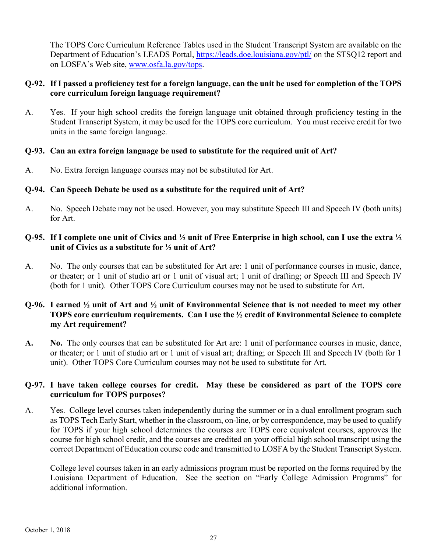The TOPS Core Curriculum Reference Tables used in the Student Transcript System are available on the Department of Education's LEADS Portal,<https://leads.doe.louisiana.gov/ptl/> on the STSQ12 report and on LOSFA's Web site, [www.osfa.la.gov/tops.](http://www.osfa.la.gov/tops)

## **Q-92. If I passed a proficiency test for a foreign language, can the unit be used for completion of the TOPS core curriculum foreign language requirement?**

A. Yes. If your high school credits the foreign language unit obtained through proficiency testing in the Student Transcript System, it may be used for the TOPS core curriculum. You must receive credit for two units in the same foreign language.

#### **Q-93. Can an extra foreign language be used to substitute for the required unit of Art?**

A. No. Extra foreign language courses may not be substituted for Art.

## **Q-94. Can Speech Debate be used as a substitute for the required unit of Art?**

A. No. Speech Debate may not be used. However, you may substitute Speech III and Speech IV (both units) for Art.

## **Q-95. If I complete one unit of Civics and ½ unit of Free Enterprise in high school, can I use the extra ½ unit of Civics as a substitute for ½ unit of Art?**

A. No. The only courses that can be substituted for Art are: 1 unit of performance courses in music, dance, or theater; or 1 unit of studio art or 1 unit of visual art; 1 unit of drafting; or Speech III and Speech IV (both for 1 unit). Other TOPS Core Curriculum courses may not be used to substitute for Art.

## **Q-96. I earned ½ unit of Art and ½ unit of Environmental Science that is not needed to meet my other TOPS core curriculum requirements. Can I use the ½ credit of Environmental Science to complete my Art requirement?**

**A. No.** The only courses that can be substituted for Art are: 1 unit of performance courses in music, dance, or theater; or 1 unit of studio art or 1 unit of visual art; drafting; or Speech III and Speech IV (both for 1 unit). Other TOPS Core Curriculum courses may not be used to substitute for Art.

## **Q-97. I have taken college courses for credit. May these be considered as part of the TOPS core curriculum for TOPS purposes?**

A. Yes. College level courses taken independently during the summer or in a dual enrollment program such as TOPS Tech Early Start, whether in the classroom, on-line, or by correspondence, may be used to qualify for TOPS if your high school determines the courses are TOPS core equivalent courses, approves the course for high school credit, and the courses are credited on your official high school transcript using the correct Department of Education course code and transmitted to LOSFA by the Student Transcript System.

College level courses taken in an early admissions program must be reported on the forms required by the Louisiana Department of Education. See the section on "Early College Admission Programs" for additional information.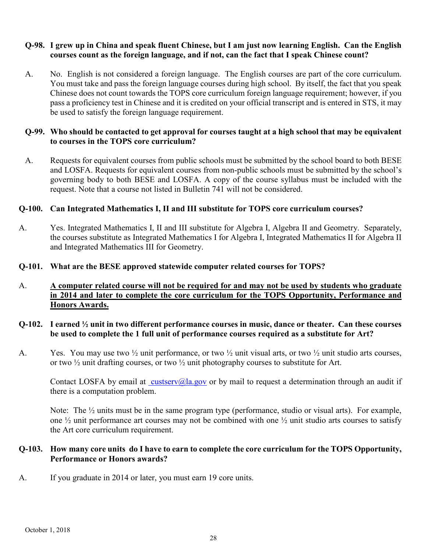#### **Q-98. I grew up in China and speak fluent Chinese, but I am just now learning English. Can the English courses count as the foreign language, and if not, can the fact that I speak Chinese count?**

A. No. English is not considered a foreign language. The English courses are part of the core curriculum. You must take and pass the foreign language courses during high school. By itself, the fact that you speak Chinese does not count towards the TOPS core curriculum foreign language requirement; however, if you pass a proficiency test in Chinese and it is credited on your official transcript and is entered in STS, it may be used to satisfy the foreign language requirement.

#### **Q-99. Who should be contacted to get approval for courses taught at a high school that may be equivalent to courses in the TOPS core curriculum?**

A. Requests for equivalent courses from public schools must be submitted by the school board to both BESE and LOSFA. Requests for equivalent courses from non-public schools must be submitted by the school's governing body to both BESE and LOSFA. A copy of the course syllabus must be included with the request. Note that a course not listed in Bulletin 741 will not be considered.

## **Q-100. Can Integrated Mathematics I, II and III substitute for TOPS core curriculum courses?**

A. Yes. Integrated Mathematics I, II and III substitute for Algebra I, Algebra II and Geometry. Separately, the courses substitute as Integrated Mathematics I for Algebra I, Integrated Mathematics II for Algebra II and Integrated Mathematics III for Geometry.

#### **Q-101. What are the BESE approved statewide computer related courses for TOPS?**

## A. **A computer related course will not be required for and may not be used by students who graduate in 2014 and later to complete the core curriculum for the TOPS Opportunity, Performance and Honors Awards.**

## **Q-102. I earned ½ unit in two different performance courses in music, dance or theater. Can these courses be used to complete the 1 full unit of performance courses required as a substitute for Art?**

A. Yes. You may use two  $\frac{1}{2}$  unit performance, or two  $\frac{1}{2}$  unit visual arts, or two  $\frac{1}{2}$  unit studio arts courses, or two ½ unit drafting courses, or two ½ unit photography courses to substitute for Art.

Contact LOSFA by email at [custserv@la.gov](mailto:custserv@osfa.la.gov) or by mail to request a determination through an audit if there is a computation problem.

Note: The  $\frac{1}{2}$  units must be in the same program type (performance, studio or visual arts). For example, one ½ unit performance art courses may not be combined with one ½ unit studio arts courses to satisfy the Art core curriculum requirement.

#### **Q-103. How many core units do I have to earn to complete the core curriculum for the TOPS Opportunity, Performance or Honors awards?**

A. If you graduate in 2014 or later, you must earn 19 core units.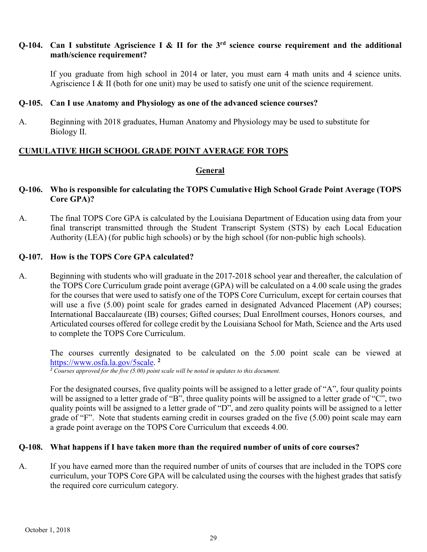#### **Q-104. Can I substitute Agriscience I & II for the 3rd science course requirement and the additional math/science requirement?**

If you graduate from high school in 2014 or later, you must earn 4 math units and 4 science units. Agriscience I & II (both for one unit) may be used to satisfy one unit of the science requirement.

#### **Q-105. Can I use Anatomy and Physiology as one of the advanced science courses?**

A. Beginning with 2018 graduates, Human Anatomy and Physiology may be used to substitute for Biology II.

## <span id="page-37-0"></span>**CUMULATIVE HIGH SCHOOL GRADE POINT AVERAGE FOR TOPS**

#### **General**

#### **Q-106. Who is responsible for calculating the TOPS Cumulative High School Grade Point Average (TOPS Core GPA)?**

A. The final TOPS Core GPA is calculated by the Louisiana Department of Education using data from your final transcript transmitted through the Student Transcript System (STS) by each Local Education Authority (LEA) (for public high schools) or by the high school (for non-public high schools).

#### **Q-107. How is the TOPS Core GPA calculated?**

A. Beginning with students who will graduate in the 2017-2018 school year and thereafter, the calculation of the TOPS Core Curriculum grade point average (GPA) will be calculated on a 4.00 scale using the grades for the courses that were used to satisfy one of the TOPS Core Curriculum, except for certain courses that will use a five (5.00) point scale for grades earned in designated Advanced Placement (AP) courses; International Baccalaureate (IB) courses; Gifted courses; Dual Enrollment courses, Honors courses, and Articulated courses offered for college credit by the Louisiana School for Math, Science and the Arts used to complete the TOPS Core Curriculum.

The courses currently designated to be calculated on the 5.00 point scale can be viewed at [https://www.osfa.la.gov/5scale.](https://www.osfa.la.gov/5scale) **<sup>2</sup>**

*<sup>2</sup> Courses approved for the five (5.00) point scale will be noted in updates to this document.*

For the designated courses, five quality points will be assigned to a letter grade of "A", four quality points will be assigned to a letter grade of "B", three quality points will be assigned to a letter grade of "C", two quality points will be assigned to a letter grade of "D", and zero quality points will be assigned to a letter grade of "F". Note that students earning credit in courses graded on the five (5.00) point scale may earn a grade point average on the TOPS Core Curriculum that exceeds 4.00.

#### **Q-108. What happens if I have taken more than the required number of units of core courses?**

A. If you have earned more than the required number of units of courses that are included in the TOPS core curriculum, your TOPS Core GPA will be calculated using the courses with the highest grades that satisfy the required core curriculum category.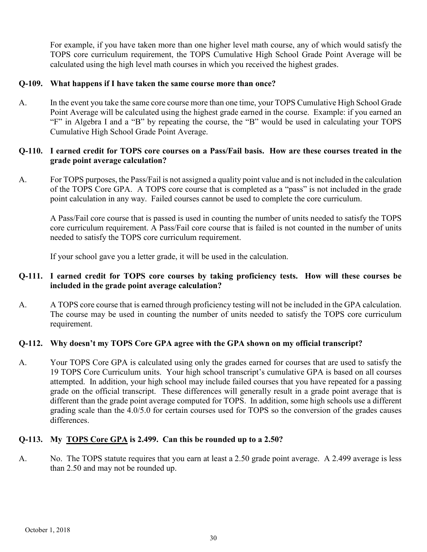For example, if you have taken more than one higher level math course, any of which would satisfy the TOPS core curriculum requirement, the TOPS Cumulative High School Grade Point Average will be calculated using the high level math courses in which you received the highest grades.

#### **Q-109. What happens if I have taken the same course more than once?**

A. In the event you take the same core course more than one time, your TOPS Cumulative High School Grade Point Average will be calculated using the highest grade earned in the course. Example: if you earned an "F" in Algebra I and a "B" by repeating the course, the "B" would be used in calculating your TOPS Cumulative High School Grade Point Average.

## **Q-110. I earned credit for TOPS core courses on a Pass/Fail basis. How are these courses treated in the grade point average calculation?**

A. For TOPS purposes, the Pass/Fail is not assigned a quality point value and is not included in the calculation of the TOPS Core GPA. A TOPS core course that is completed as a "pass" is not included in the grade point calculation in any way. Failed courses cannot be used to complete the core curriculum.

A Pass/Fail core course that is passed is used in counting the number of units needed to satisfy the TOPS core curriculum requirement. A Pass/Fail core course that is failed is not counted in the number of units needed to satisfy the TOPS core curriculum requirement.

If your school gave you a letter grade, it will be used in the calculation.

#### **Q-111. I earned credit for TOPS core courses by taking proficiency tests. How will these courses be included in the grade point average calculation?**

A. A TOPS core course that is earned through proficiency testing will not be included in the GPA calculation. The course may be used in counting the number of units needed to satisfy the TOPS core curriculum requirement.

## **Q-112. Why doesn't my TOPS Core GPA agree with the GPA shown on my official transcript?**

A. Your TOPS Core GPA is calculated using only the grades earned for courses that are used to satisfy the 19 TOPS Core Curriculum units. Your high school transcript's cumulative GPA is based on all courses attempted. In addition, your high school may include failed courses that you have repeated for a passing grade on the official transcript. These differences will generally result in a grade point average that is different than the grade point average computed for TOPS. In addition, some high schools use a different grading scale than the 4.0/5.0 for certain courses used for TOPS so the conversion of the grades causes differences.

## **Q-113. My TOPS Core GPA is 2.499. Can this be rounded up to a 2.50?**

A. No. The TOPS statute requires that you earn at least a 2.50 grade point average. A 2.499 average is less than 2.50 and may not be rounded up.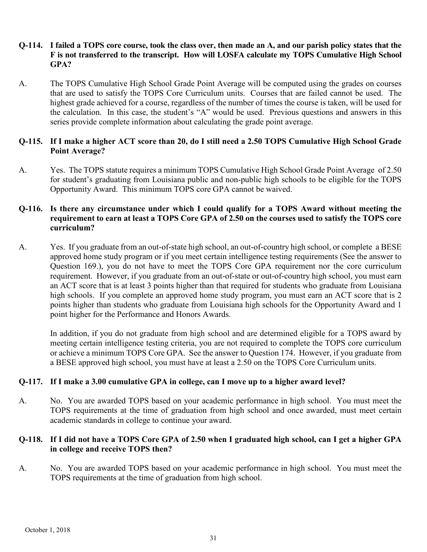#### **Q-114. I failed a TOPS core course, took the class over, then made an A, and our parish policy states that the F is not transferred to the transcript. How will LOSFA calculate my TOPS Cumulative High School GPA?**

A. The TOPS Cumulative High School Grade Point Average will be computed using the grades on courses that are used to satisfy the TOPS Core Curriculum units. Courses that are failed cannot be used. The highest grade achieved for a course, regardless of the number of times the course is taken, will be used for the calculation. In this case, the student's "A" would be used. Previous questions and answers in this series provide complete information about calculating the grade point average.

## **Q-115. If I make a higher ACT score than 20, do I still need a 2.50 TOPS Cumulative High School Grade Point Average?**

A. Yes. The TOPS statute requires a minimum TOPS Cumulative High School Grade Point Average of 2.50 for student's graduating from Louisiana public and non-public high schools to be eligible for the TOPS Opportunity Award. This minimum TOPS core GPA cannot be waived.

#### **Q-116. Is there any circumstance under which I could qualify for a TOPS Award without meeting the requirement to earn at least a TOPS Core GPA of 2.50 on the courses used to satisfy the TOPS core curriculum?**

A. Yes. If you graduate from an out-of-state high school, an out-of-country high school, or complete a BESE approved home study program or if you meet certain intelligence testing requirements (See the answer to Question 169.), you do not have to meet the TOPS Core GPA requirement nor the core curriculum requirement. However, if you graduate from an out-of-state or out-of-country high school, you must earn an ACT score that is at least 3 points higher than that required for students who graduate from Louisiana high schools. If you complete an approved home study program, you must earn an ACT score that is 2 points higher than students who graduate from Louisiana high schools for the Opportunity Award and 1 point higher for the Performance and Honors Awards.

In addition, if you do not graduate from high school and are determined eligible for a TOPS award by meeting certain intelligence testing criteria, you are not required to complete the TOPS core curriculum or achieve a minimum TOPS Core GPA. See the answer to Question 174. However, if you graduate from a BESE approved high school, you must have at least a 2.50 on the TOPS Core Curriculum units.

## **Q-117. If I make a 3.00 cumulative GPA in college, can I move up to a higher award level?**

A. No. You are awarded TOPS based on your academic performance in high school. You must meet the TOPS requirements at the time of graduation from high school and once awarded, must meet certain academic standards in college to continue your award.

#### **Q-118. If I did not have a TOPS Core GPA of 2.50 when I graduated high school, can I get a higher GPA in college and receive TOPS then?**

A. No. You are awarded TOPS based on your academic performance in high school. You must meet the TOPS requirements at the time of graduation from high school.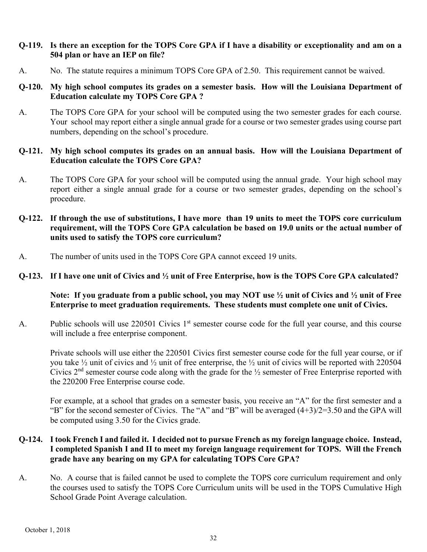#### **Q-119. Is there an exception for the TOPS Core GPA if I have a disability or exceptionality and am on a 504 plan or have an IEP on file?**

A. No. The statute requires a minimum TOPS Core GPA of 2.50. This requirement cannot be waived.

#### **Q-120. My high school computes its grades on a semester basis. How will the Louisiana Department of Education calculate my TOPS Core GPA ?**

A. The TOPS Core GPA for your school will be computed using the two semester grades for each course. Your school may report either a single annual grade for a course or two semester grades using course part numbers, depending on the school's procedure.

#### **Q-121. My high school computes its grades on an annual basis. How will the Louisiana Department of Education calculate the TOPS Core GPA?**

- A. The TOPS Core GPA for your school will be computed using the annual grade. Your high school may report either a single annual grade for a course or two semester grades, depending on the school's procedure.
- **Q-122. If through the use of substitutions, I have more than 19 units to meet the TOPS core curriculum requirement, will the TOPS Core GPA calculation be based on 19.0 units or the actual number of units used to satisfy the TOPS core curriculum?**
- A. The number of units used in the TOPS Core GPA cannot exceed 19 units.

#### **Q-123. If I have one unit of Civics and ½ unit of Free Enterprise, how is the TOPS Core GPA calculated?**

#### **Note: If you graduate from a public school, you may NOT use ½ unit of Civics and ½ unit of Free Enterprise to meet graduation requirements. These students must complete one unit of Civics.**

A. Public schools will use 220501 Civics 1<sup>st</sup> semester course code for the full year course, and this course will include a free enterprise component.

Private schools will use either the 220501 Civics first semester course code for the full year course, or if you take ½ unit of civics and ½ unit of free enterprise, the ½ unit of civics will be reported with 220504 Civics  $2<sup>nd</sup>$  semester course code along with the grade for the  $\frac{1}{2}$  semester of Free Enterprise reported with the 220200 Free Enterprise course code.

For example, at a school that grades on a semester basis, you receive an "A" for the first semester and a "B" for the second semester of Civics. The "A" and "B" will be averaged  $(4+3)/2=3.50$  and the GPA will be computed using 3.50 for the Civics grade.

## **Q-124. I took French I and failed it. I decided not to pursue French as my foreign language choice. Instead, I completed Spanish I and II to meet my foreign language requirement for TOPS. Will the French grade have any bearing on my GPA for calculating TOPS Core GPA?**

A. No. A course that is failed cannot be used to complete the TOPS core curriculum requirement and only the courses used to satisfy the TOPS Core Curriculum units will be used in the TOPS Cumulative High School Grade Point Average calculation.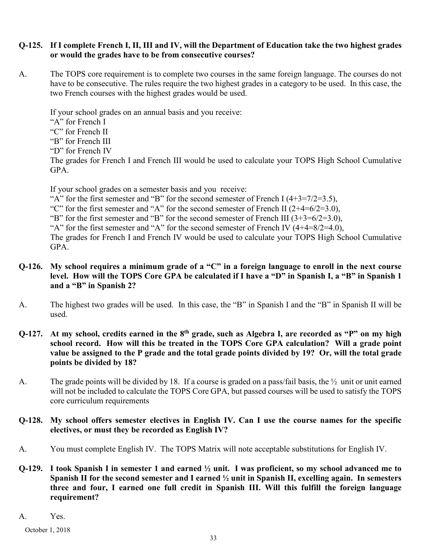#### **Q-125. If I complete French I, II, III and IV, will the Department of Education take the two highest grades or would the grades have to be from consecutive courses?**

A. The TOPS core requirement is to complete two courses in the same foreign language. The courses do not have to be consecutive. The rules require the two highest grades in a category to be used. In this case, the two French courses with the highest grades would be used.

If your school grades on an annual basis and you receive:

"A" for French I

- "C" for French II
- "B" for French III
- "D" for French IV

The grades for French I and French III would be used to calculate your TOPS High School Cumulative GPA.

If your school grades on a semester basis and you receive:

"A" for the first semester and "B" for the second semester of French I  $(4+3=7/2=3.5)$ ,

"C" for the first semester and "A" for the second semester of French II  $(2+4=6/2=3.0)$ ,

"B" for the first semester and "B" for the second semester of French III  $(3+3=6/2=3.0)$ ,

"A" for the first semester and "A" for the second semester of French IV  $(4+4=8/2=4.0)$ ,

The grades for French I and French IV would be used to calculate your TOPS High School Cumulative GPA.

## **Q-126. My school requires a minimum grade of a "C" in a foreign language to enroll in the next course level. How will the TOPS Core GPA be calculated if I have a "D" in Spanish I, a "B" in Spanish 1 and a "B" in Spanish 2?**

- A. The highest two grades will be used. In this case, the "B" in Spanish I and the "B" in Spanish II will be used.
- **Q-127. At my school, credits earned in the 8th grade, such as Algebra I, are recorded as "P" on my high school record. How will this be treated in the TOPS Core GPA calculation? Will a grade point value be assigned to the P grade and the total grade points divided by 19? Or, will the total grade points be divided by 18?**
- A. The grade points will be divided by 18. If a course is graded on a pass/fail basis, the  $\frac{1}{2}$  unit or unit earned will not be included to calculate the TOPS Core GPA, but passed courses will be used to satisfy the TOPS core curriculum requirements

## **Q-128. My school offers semester electives in English IV. Can I use the course names for the specific electives, or must they be recorded as English IV?**

- A. You must complete English IV. The TOPS Matrix will note acceptable substitutions for English IV.
- **Q-129. I took Spanish I in semester 1 and earned ½ unit. I was proficient, so my school advanced me to Spanish II for the second semester and I earned ½ unit in Spanish II, excelling again. In semesters three and four, I earned one full credit in Spanish III. Will this fulfill the foreign language requirement?**

A. Yes.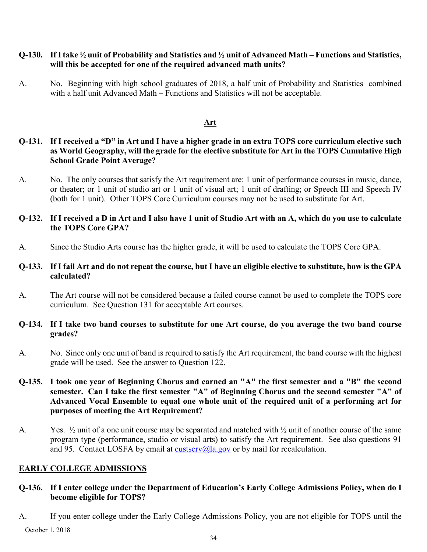#### **Q-130. If Itake ½ unit of Probability and Statistics and ½ unit of Advanced Math – Functions and Statistics, will this be accepted for one of the required advanced math units?**

A. No. Beginning with high school graduates of 2018, a half unit of Probability and Statistics combined with a half unit Advanced Math – Functions and Statistics will not be acceptable.

#### **Art**

## **Q-131. If I received a "D" in Art and I have a higher grade in an extra TOPS core curriculum elective such as World Geography, will the grade for the elective substitute for Art in the TOPS Cumulative High School Grade Point Average?**

A. No. The only courses that satisfy the Art requirement are: 1 unit of performance courses in music, dance, or theater; or 1 unit of studio art or 1 unit of visual art; 1 unit of drafting; or Speech III and Speech IV (both for 1 unit). Other TOPS Core Curriculum courses may not be used to substitute for Art.

#### **Q-132. If I received a D in Art and I also have 1 unit of Studio Art with an A, which do you use to calculate the TOPS Core GPA?**

A. Since the Studio Arts course has the higher grade, it will be used to calculate the TOPS Core GPA.

## **Q-133. If I fail Art and do not repeat the course, but I have an eligible elective to substitute, how is the GPA calculated?**

A. The Art course will not be considered because a failed course cannot be used to complete the TOPS core curriculum. See Question 131 for acceptable Art courses.

#### **Q-134. If I take two band courses to substitute for one Art course, do you average the two band course grades?**

A. No. Since only one unit of band is required to satisfy the Art requirement, the band course with the highest grade will be used. See the answer to Question 122.

#### **Q-135. I took one year of Beginning Chorus and earned an "A" the first semester and a "B" the second semester. Can I take the first semester "A" of Beginning Chorus and the second semester "A" of Advanced Vocal Ensemble to equal one whole unit of the required unit of a performing art for purposes of meeting the Art Requirement?**

A. Yes.  $\frac{1}{2}$  unit of a one unit course may be separated and matched with  $\frac{1}{2}$  unit of another course of the same program type (performance, studio or visual arts) to satisfy the Art requirement. See also questions 91 and 95. Contact LOSFA by email at  $\frac{\text{cutser}(a)}{a}$  gov or by mail for recalculation.

## <span id="page-42-0"></span>**EARLY COLLEGE ADMISSIONS**

- **Q-136. If I enter college under the Department of Education's Early College Admissions Policy, when do I become eligible for TOPS?**
- October 1, 2018 A. If you enter college under the Early College Admissions Policy, you are not eligible for TOPS until the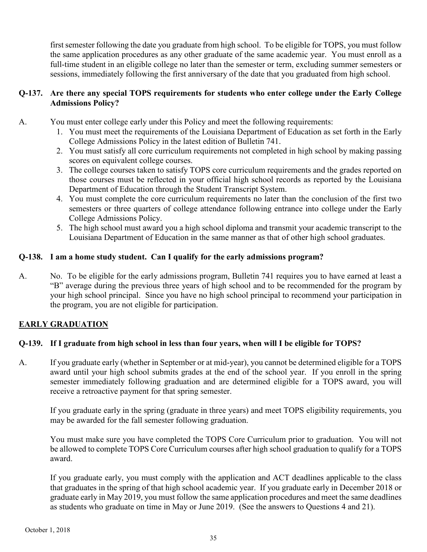first semester following the date you graduate from high school. To be eligible for TOPS, you must follow the same application procedures as any other graduate of the same academic year. You must enroll as a full-time student in an eligible college no later than the semester or term, excluding summer semesters or sessions, immediately following the first anniversary of the date that you graduated from high school.

## **Q-137. Are there any special TOPS requirements for students who enter college under the Early College Admissions Policy?**

- A. You must enter college early under this Policy and meet the following requirements:
	- 1. You must meet the requirements of the Louisiana Department of Education as set forth in the Early College Admissions Policy in the latest edition of Bulletin 741.
	- 2. You must satisfy all core curriculum requirements not completed in high school by making passing scores on equivalent college courses.
	- 3. The college courses taken to satisfy TOPS core curriculum requirements and the grades reported on those courses must be reflected in your official high school records as reported by the Louisiana Department of Education through the Student Transcript System.
	- 4. You must complete the core curriculum requirements no later than the conclusion of the first two semesters or three quarters of college attendance following entrance into college under the Early College Admissions Policy.
	- 5. The high school must award you a high school diploma and transmit your academic transcript to the Louisiana Department of Education in the same manner as that of other high school graduates.

## **Q-138. I am a home study student. Can I qualify for the early admissions program?**

A. No. To be eligible for the early admissions program, Bulletin 741 requires you to have earned at least a "B" average during the previous three years of high school and to be recommended for the program by your high school principal. Since you have no high school principal to recommend your participation in the program, you are not eligible for participation.

## <span id="page-43-0"></span>**EARLY GRADUATION**

## **Q-139. If I graduate from high school in less than four years, when will I be eligible for TOPS?**

A. If you graduate early (whether in September or at mid-year), you cannot be determined eligible for a TOPS award until your high school submits grades at the end of the school year. If you enroll in the spring semester immediately following graduation and are determined eligible for a TOPS award, you will receive a retroactive payment for that spring semester.

If you graduate early in the spring (graduate in three years) and meet TOPS eligibility requirements, you may be awarded for the fall semester following graduation.

You must make sure you have completed the TOPS Core Curriculum prior to graduation. You will not be allowed to complete TOPS Core Curriculum courses after high school graduation to qualify for a TOPS award.

If you graduate early, you must comply with the application and ACT deadlines applicable to the class that graduates in the spring of that high school academic year. If you graduate early in December 2018 or graduate early in May 2019, you must follow the same application procedures and meet the same deadlines as students who graduate on time in May or June 2019. (See the answers to Questions 4 and 21).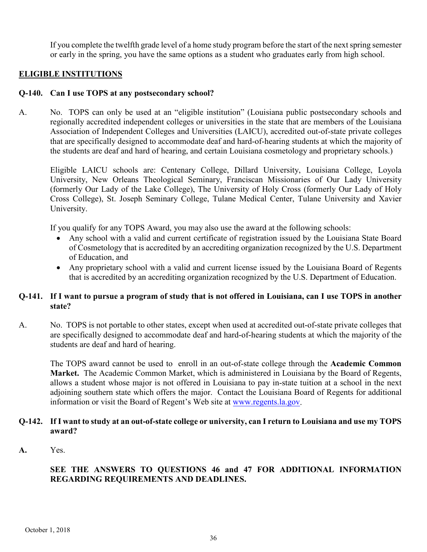If you complete the twelfth grade level of a home study program before the start of the next spring semester or early in the spring, you have the same options as a student who graduates early from high school.

## <span id="page-44-0"></span>**ELIGIBLE INSTITUTIONS**

#### **Q-140. Can I use TOPS at any postsecondary school?**

A. No. TOPS can only be used at an "eligible institution" (Louisiana public postsecondary schools and regionally accredited independent colleges or universities in the state that are members of the Louisiana Association of Independent Colleges and Universities (LAICU), accredited out-of-state private colleges that are specifically designed to accommodate deaf and hard-of-hearing students at which the majority of the students are deaf and hard of hearing, and certain Louisiana cosmetology and proprietary schools.)

Eligible LAICU schools are: Centenary College, Dillard University, Louisiana College, Loyola University, New Orleans Theological Seminary, Franciscan Missionaries of Our Lady University (formerly Our Lady of the Lake College), The University of Holy Cross (formerly Our Lady of Holy Cross College), St. Joseph Seminary College, Tulane Medical Center, Tulane University and Xavier University.

If you qualify for any TOPS Award, you may also use the award at the following schools:

- Any school with a valid and current certificate of registration issued by the Louisiana State Board of Cosmetology that is accredited by an accrediting organization recognized by the U.S. Department of Education, and
- Any proprietary school with a valid and current license issued by the Louisiana Board of Regents that is accredited by an accrediting organization recognized by the U.S. Department of Education.

## **Q-141. If I want to pursue a program of study that is not offered in Louisiana, can I use TOPS in another state?**

A. No. TOPS is not portable to other states, except when used at accredited out-of-state private colleges that are specifically designed to accommodate deaf and hard-of-hearing students at which the majority of the students are deaf and hard of hearing.

The TOPS award cannot be used to enroll in an out-of-state college through the **Academic Common Market.** The Academic Common Market, which is administered in Louisiana by the Board of Regents, allows a student whose major is not offered in Louisiana to pay in-state tuition at a school in the next adjoining southern state which offers the major. Contact the Louisiana Board of Regents for additional information or visit the Board of Regent's Web site at [www.regents.la.gov.](http://www.regents.la.gov/)

#### **Q-142. If I want to study at an out-of-state college or university, can I return to Louisiana and use my TOPS award?**

**A.** Yes.

## **SEE THE ANSWERS TO QUESTIONS 46 and 47 FOR ADDITIONAL INFORMATION REGARDING REQUIREMENTS AND DEADLINES.**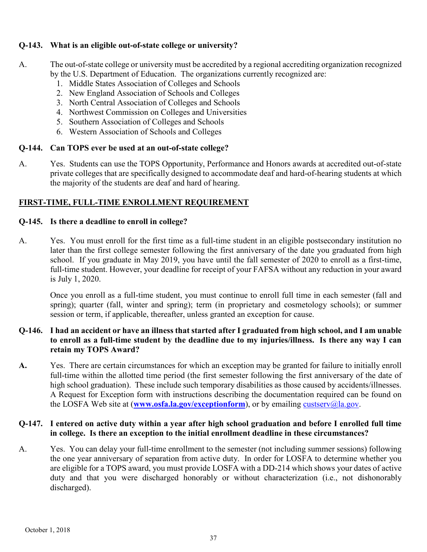## **Q-143. What is an eligible out-of-state college or university?**

- A. The out-of-state college or university must be accredited by a regional accrediting organization recognized by the U.S. Department of Education. The organizations currently recognized are:
	- 1. Middle States Association of Colleges and Schools
	- 2. New England Association of Schools and Colleges
	- 3. North Central Association of Colleges and Schools
	- 4. Northwest Commission on Colleges and Universities
	- 5. Southern Association of Colleges and Schools
	- 6. Western Association of Schools and Colleges

## **Q-144. Can TOPS ever be used at an out-of-state college?**

A. Yes. Students can use the TOPS Opportunity, Performance and Honors awards at accredited out-of-state private colleges that are specifically designed to accommodate deaf and hard-of-hearing students at which the majority of the students are deaf and hard of hearing.

## <span id="page-45-0"></span>**FIRST-TIME, FULL-TIME ENROLLMENT REQUIREMENT**

## **Q-145. Is there a deadline to enroll in college?**

A. Yes. You must enroll for the first time as a full-time student in an eligible postsecondary institution no later than the first college semester following the first anniversary of the date you graduated from high school. If you graduate in May 2019, you have until the fall semester of 2020 to enroll as a first-time, full-time student. However, your deadline for receipt of your FAFSA without any reduction in your award is July 1, 2020.

Once you enroll as a full-time student, you must continue to enroll full time in each semester (fall and spring); quarter (fall, winter and spring); term (in proprietary and cosmetology schools); or summer session or term, if applicable, thereafter, unless granted an exception for cause.

## **Q-146. I had an accident or have an illness that started after I graduated from high school, and I am unable to enroll as a full-time student by the deadline due to my injuries/illness. Is there any way I can retain my TOPS Award?**

**A.** Yes. There are certain circumstances for which an exception may be granted for failure to initially enroll full-time within the allotted time period (the first semester following the first anniversary of the date of high school graduation). These include such temporary disabilities as those caused by accidents/illnesses. A Request for Exception form with instructions describing the documentation required can be found on the LOSFA Web site at (**[www.osfa.la.gov/exceptionform](http://www.osfa.la.gov/exceptionform)**), or by emailing [custserv@la.gov.](mailto:custserv@la.gov)

## **Q-147. I entered on active duty within a year after high school graduation and before I enrolled full time in college. Is there an exception to the initial enrollment deadline in these circumstances?**

A. Yes. You can delay your full-time enrollment to the semester (not including summer sessions) following the one year anniversary of separation from active duty. In order for LOSFA to determine whether you are eligible for a TOPS award, you must provide LOSFA with a DD-214 which shows your dates of active duty and that you were discharged honorably or without characterization (i.e., not dishonorably discharged).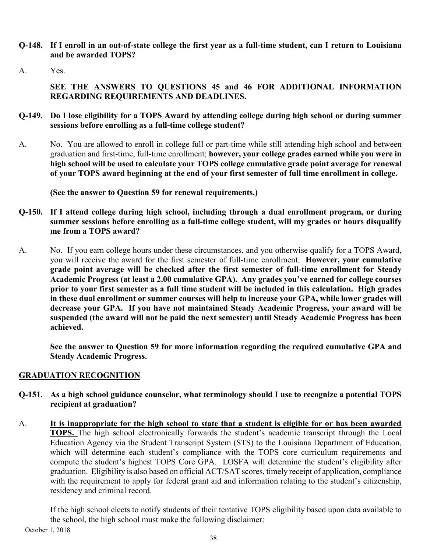- **Q-148. If I enroll in an out-of-state college the first year as a full-time student, can I return to Louisiana and be awarded TOPS?**
- A. Yes.

**SEE THE ANSWERS TO QUESTIONS 45 and 46 FOR ADDITIONAL INFORMATION REGARDING REQUIREMENTS AND DEADLINES.**

- **Q-149. Do I lose eligibility for a TOPS Award by attending college during high school or during summer sessions before enrolling as a full-time college student?**
- A. No. You are allowed to enroll in college full or part-time while still attending high school and between graduation and first-time, full-time enrollment; **however, your college grades earned while you were in high school will be used to calculate your TOPS college cumulative grade point average for renewal of your TOPS award beginning at the end of your first semester of full time enrollment in college.**

**(See the answer to Question 59 for renewal requirements.)** 

- **Q-150. If I attend college during high school, including through a dual enrollment program, or during summer sessions before enrolling as a full-time college student, will my grades or hours disqualify me from a TOPS award?**
- A. No. If you earn college hours under these circumstances, and you otherwise qualify for a TOPS Award, you will receive the award for the first semester of full-time enrollment. **However, your cumulative grade point average will be checked after the first semester of full-time enrollment for Steady Academic Progress (at least a 2.00 cumulative GPA). Any grades you've earned for college courses prior to your first semester as a full time student will be included in this calculation. High grades in these dual enrollment or summer courses will help to increase your GPA, while lower grades will decrease your GPA. If you have not maintained Steady Academic Progress, your award will be suspended (the award will not be paid the next semester) until Steady Academic Progress has been achieved.**

**See the answer to Question 59 for more information regarding the required cumulative GPA and Steady Academic Progress.**

## <span id="page-46-0"></span>**GRADUATION RECOGNITION**

- **Q-151. As a high school guidance counselor, what terminology should I use to recognize a potential TOPS recipient at graduation?**
- A. **It is inappropriate for the high school to state that a student is eligible for or has been awarded TOPS.** The high school electronically forwards the student's academic transcript through the Local Education Agency via the Student Transcript System (STS) to the Louisiana Department of Education, which will determine each student's compliance with the TOPS core curriculum requirements and compute the student's highest TOPS Core GPA. LOSFA will determine the student's eligibility after graduation. Eligibility is also based on official ACT/SAT scores, timely receipt of application, compliance with the requirement to apply for federal grant aid and information relating to the student's citizenship, residency and criminal record.

If the high school elects to notify students of their tentative TOPS eligibility based upon data available to the school, the high school must make the following disclaimer: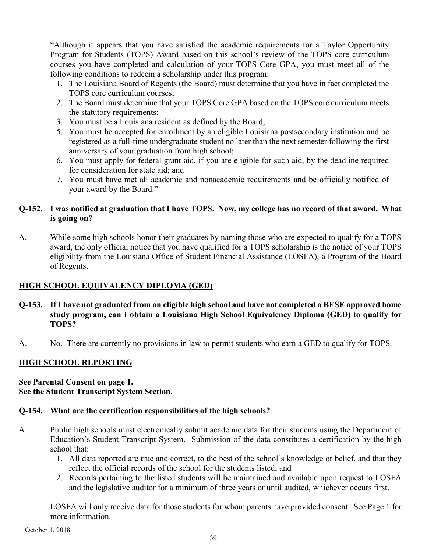"Although it appears that you have satisfied the academic requirements for a Taylor Opportunity Program for Students (TOPS) Award based on this school's review of the TOPS core curriculum courses you have completed and calculation of your TOPS Core GPA, you must meet all of the following conditions to redeem a scholarship under this program:

- 1. The Louisiana Board of Regents (the Board) must determine that you have in fact completed the TOPS core curriculum courses;
- 2. The Board must determine that your TOPS Core GPA based on the TOPS core curriculum meets the statutory requirements;
- 3. You must be a Louisiana resident as defined by the Board;
- 5. You must be accepted for enrollment by an eligible Louisiana postsecondary institution and be registered as a full-time undergraduate student no later than the next semester following the first anniversary of your graduation from high school;
- 6. You must apply for federal grant aid, if you are eligible for such aid, by the deadline required for consideration for state aid; and
- 7. You must have met all academic and nonacademic requirements and be officially notified of your award by the Board."

## **Q-152. I was notified at graduation that I have TOPS. Now, my college has no record of that award. What is going on?**

A. While some high schools honor their graduates by naming those who are expected to qualify for a TOPS award, the only official notice that you have qualified for a TOPS scholarship is the notice of your TOPS eligibility from the Louisiana Office of Student Financial Assistance (LOSFA), a Program of the Board of Regents.

## <span id="page-47-0"></span>**HIGH SCHOOL EQUIVALENCY DIPLOMA (GED)**

- **Q-153. If I have not graduated from an eligible high school and have not completed a BESE approved home study program, can I obtain a Louisiana High School Equivalency Diploma (GED) to qualify for TOPS?**
- A. No. There are currently no provisions in law to permit students who earn a GED to qualify for TOPS.

## <span id="page-47-1"></span>**HIGH SCHOOL REPORTING**

#### **See Parental Consent on page 1. See the Student Transcript System Section.**

## **Q-154. What are the certification responsibilities of the high schools?**

- A. Public high schools must electronically submit academic data for their students using the Department of Education's Student Transcript System. Submission of the data constitutes a certification by the high school that:
	- 1. All data reported are true and correct, to the best of the school's knowledge or belief, and that they reflect the official records of the school for the students listed; and
	- 2. Records pertaining to the listed students will be maintained and available upon request to LOSFA and the legislative auditor for a minimum of three years or until audited, whichever occurs first.

LOSFA will only receive data for those students for whom parents have provided consent. See Page 1 for more information.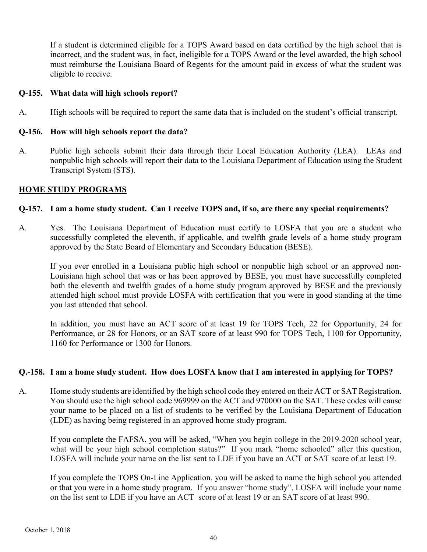If a student is determined eligible for a TOPS Award based on data certified by the high school that is incorrect, and the student was, in fact, ineligible for a TOPS Award or the level awarded, the high school must reimburse the Louisiana Board of Regents for the amount paid in excess of what the student was eligible to receive.

## **Q-155. What data will high schools report?**

A. High schools will be required to report the same data that is included on the student's official transcript.

#### **Q-156. How will high schools report the data?**

A. Public high schools submit their data through their Local Education Authority (LEA). LEAs and nonpublic high schools will report their data to the Louisiana Department of Education using the Student Transcript System (STS).

#### <span id="page-48-0"></span>**HOME STUDY PROGRAMS**

#### **Q-157. I am a home study student. Can I receive TOPS and, if so, are there any special requirements?**

A. Yes. The Louisiana Department of Education must certify to LOSFA that you are a student who successfully completed the eleventh, if applicable, and twelfth grade levels of a home study program approved by the State Board of Elementary and Secondary Education (BESE).

If you ever enrolled in a Louisiana public high school or nonpublic high school or an approved non-Louisiana high school that was or has been approved by BESE, you must have successfully completed both the eleventh and twelfth grades of a home study program approved by BESE and the previously attended high school must provide LOSFA with certification that you were in good standing at the time you last attended that school.

In addition, you must have an ACT score of at least 19 for TOPS Tech, 22 for Opportunity, 24 for Performance, or 28 for Honors, or an SAT score of at least 990 for TOPS Tech, 1100 for Opportunity, 1160 for Performance or 1300 for Honors.

#### **Q.-158. I am a home study student. How does LOSFA know that I am interested in applying for TOPS?**

A. Home study students are identified by the high school code they entered on their ACT or SAT Registration. You should use the high school code 969999 on the ACT and 970000 on the SAT. These codes will cause your name to be placed on a list of students to be verified by the Louisiana Department of Education (LDE) as having being registered in an approved home study program.

If you complete the FAFSA, you will be asked, "When you begin college in the 2019-2020 school year, what will be your high school completion status?" If you mark "home schooled" after this question, LOSFA will include your name on the list sent to LDE if you have an ACT or SAT score of at least 19.

If you complete the TOPS On-Line Application, you will be asked to name the high school you attended or that you were in a home study program. If you answer "home study", LOSFA will include your name on the list sent to LDE if you have an ACT score of at least 19 or an SAT score of at least 990.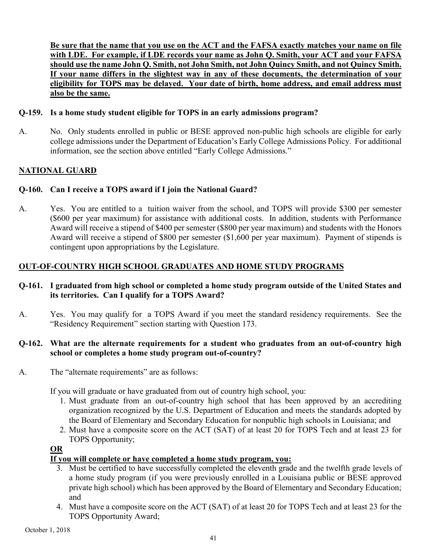**Be sure that the name that you use on the ACT and the FAFSA exactly matches your name on file with LDE. For example, if LDE records your name as John Q. Smith, your ACT and your FAFSA should use the name John Q. Smith, not John Smith, not John Quincy Smith, and not Quincy Smith. If your name differs in the slightest way in any of these documents, the determination of your eligibility for TOPS may be delayed. Your date of birth, home address, and email address must also be the same.**

#### **Q-159. Is a home study student eligible for TOPS in an early admissions program?**

A. No. Only students enrolled in public or BESE approved non-public high schools are eligible for early college admissions under the Department of Education's Early College Admissions Policy. For additional information, see the section above entitled "Early College Admissions."

## <span id="page-49-0"></span>**NATIONAL GUARD**

#### **Q-160. Can I receive a TOPS award if I join the National Guard?**

A. Yes. You are entitled to a tuition waiver from the school, and TOPS will provide \$300 per semester (\$600 per year maximum) for assistance with additional costs. In addition, students with Performance Award will receive a stipend of \$400 per semester (\$800 per year maximum) and students with the Honors Award will receive a stipend of \$800 per semester (\$1,600 per year maximum). Payment of stipends is contingent upon appropriations by the Legislature.

## <span id="page-49-1"></span>**OUT-OF-COUNTRY HIGH SCHOOL GRADUATES AND HOME STUDY PROGRAMS**

#### **Q-161. I graduated from high school or completed a home study program outside of the United States and its territories. Can I qualify for a TOPS Award?**

A. Yes. You may qualify for a TOPS Award if you meet the standard residency requirements. See the "Residency Requirement" section starting with Question 173.

#### **Q-162. What are the alternate requirements for a student who graduates from an out-of-country high school or completes a home study program out-of-country?**

A. The "alternate requirements" are as follows:

If you will graduate or have graduated from out of country high school, you:

- 1. Must graduate from an out-of-country high school that has been approved by an accrediting organization recognized by the U.S. Department of Education and meets the standards adopted by the Board of Elementary and Secondary Education for nonpublic high schools in Louisiana; and
- 2. Must have a composite score on the ACT (SAT) of at least 20 for TOPS Tech and at least 23 for TOPS Opportunity;

#### **OR**

#### **If you will complete or have completed a home study program, you:**

- 3. Must be certified to have successfully completed the eleventh grade and the twelfth grade levels of a home study program (if you were previously enrolled in a Louisiana public or BESE approved private high school) which has been approved by the Board of Elementary and Secondary Education; and
- 4. Must have a composite score on the ACT (SAT) of at least 20 for TOPS Tech and at least 23 for the TOPS Opportunity Award;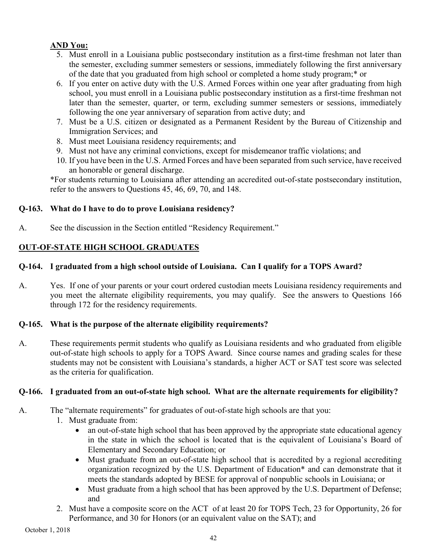## **AND You:**

- 5. Must enroll in a Louisiana public postsecondary institution as a first-time freshman not later than the semester, excluding summer semesters or sessions, immediately following the first anniversary of the date that you graduated from high school or completed a home study program;\* or
- 6. If you enter on active duty with the U.S. Armed Forces within one year after graduating from high school, you must enroll in a Louisiana public postsecondary institution as a first-time freshman not later than the semester, quarter, or term, excluding summer semesters or sessions, immediately following the one year anniversary of separation from active duty; and
- 7. Must be a U.S. citizen or designated as a Permanent Resident by the Bureau of Citizenship and Immigration Services; and
- 8. Must meet Louisiana residency requirements; and
- 9. Must not have any criminal convictions, except for misdemeanor traffic violations; and
- 10. If you have been in the U.S. Armed Forces and have been separated from such service, have received an honorable or general discharge.

\*For students returning to Louisiana after attending an accredited out-of-state postsecondary institution, refer to the answers to Questions 45, 46, 69, 70, and 148.

## **Q-163. What do I have to do to prove Louisiana residency?**

A. See the discussion in the Section entitled "Residency Requirement."

## <span id="page-50-0"></span>**OUT-OF-STATE HIGH SCHOOL GRADUATES**

## **Q-164. I graduated from a high school outside of Louisiana. Can I qualify for a TOPS Award?**

A. Yes. If one of your parents or your court ordered custodian meets Louisiana residency requirements and you meet the alternate eligibility requirements, you may qualify. See the answers to Questions 166 through 172 for the residency requirements.

## **Q-165. What is the purpose of the alternate eligibility requirements?**

A. These requirements permit students who qualify as Louisiana residents and who graduated from eligible out-of-state high schools to apply for a TOPS Award. Since course names and grading scales for these students may not be consistent with Louisiana's standards, a higher ACT or SAT test score was selected as the criteria for qualification.

## **Q-166. I graduated from an out-of-state high school. What are the alternate requirements for eligibility?**

A. The "alternate requirements" for graduates of out-of-state high schools are that you:

- 1. Must graduate from:
	- an out-of-state high school that has been approved by the appropriate state educational agency in the state in which the school is located that is the equivalent of Louisiana's Board of Elementary and Secondary Education; or
	- Must graduate from an out-of-state high school that is accredited by a regional accrediting organization recognized by the U.S. Department of Education\* and can demonstrate that it meets the standards adopted by BESE for approval of nonpublic schools in Louisiana; or
	- Must graduate from a high school that has been approved by the U.S. Department of Defense; and
- 2. Must have a composite score on the ACT of at least 20 for TOPS Tech, 23 for Opportunity, 26 for Performance, and 30 for Honors (or an equivalent value on the SAT); and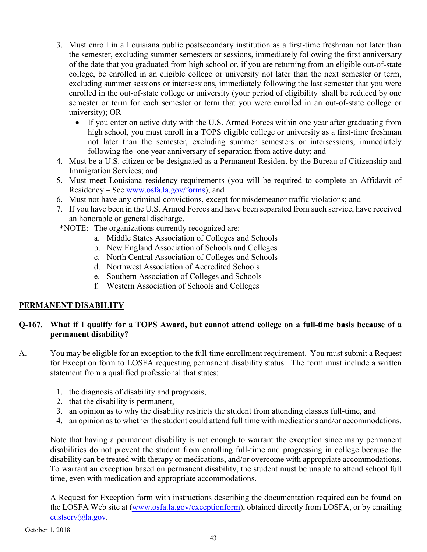- 3. Must enroll in a Louisiana public postsecondary institution as a first-time freshman not later than the semester, excluding summer semesters or sessions, immediately following the first anniversary of the date that you graduated from high school or, if you are returning from an eligible out-of-state college, be enrolled in an eligible college or university not later than the next semester or term, excluding summer sessions or intersessions, immediately following the last semester that you were enrolled in the out-of-state college or university (your period of eligibility shall be reduced by one semester or term for each semester or term that you were enrolled in an out-of-state college or university); OR
	- If you enter on active duty with the U.S. Armed Forces within one year after graduating from high school, you must enroll in a TOPS eligible college or university as a first-time freshman not later than the semester, excluding summer semesters or intersessions, immediately following the one year anniversary of separation from active duty; and
- 4. Must be a U.S. citizen or be designated as a Permanent Resident by the Bureau of Citizenship and Immigration Services; and
- 5. Must meet Louisiana residency requirements (you will be required to complete an Affidavit of Residency – See [www.osfa.la.gov/forms\)](http://www.osfa.la.gov/forms); and
- 6. Must not have any criminal convictions, except for misdemeanor traffic violations; and
- 7. If you have been in the U.S. Armed Forces and have been separated from such service, have received an honorable or general discharge.
- \*NOTE: The organizations currently recognized are:
	- a. Middle States Association of Colleges and Schools
	- b. New England Association of Schools and Colleges
	- c. North Central Association of Colleges and Schools
	- d. Northwest Association of Accredited Schools
	- e. Southern Association of Colleges and Schools
	- f. Western Association of Schools and Colleges

## <span id="page-51-0"></span>**PERMANENT DISABILITY**

## **Q-167. What if I qualify for a TOPS Award, but cannot attend college on a full-time basis because of a permanent disability?**

- A. You may be eligible for an exception to the full-time enrollment requirement. You must submit a Request for Exception form to LOSFA requesting permanent disability status. The form must include a written statement from a qualified professional that states:
	- 1. the diagnosis of disability and prognosis,
	- 2. that the disability is permanent,
	- 3. an opinion as to why the disability restricts the student from attending classes full-time, and
	- 4. an opinion as to whether the student could attend full time with medications and/or accommodations.

Note that having a permanent disability is not enough to warrant the exception since many permanent disabilities do not prevent the student from enrolling full-time and progressing in college because the disability can be treated with therapy or medications, and/or overcome with appropriate accommodations. To warrant an exception based on permanent disability, the student must be unable to attend school full time, even with medication and appropriate accommodations.

A Request for Exception form with instructions describing the documentation required can be found on the LOSFA Web site at [\(www.osfa.la.gov/exceptionform\)](http://www.osfa.la.gov/exceptionform), obtained directly from LOSFA, or by emailing [custserv@la.gov.](mailto:custserv@la.gov)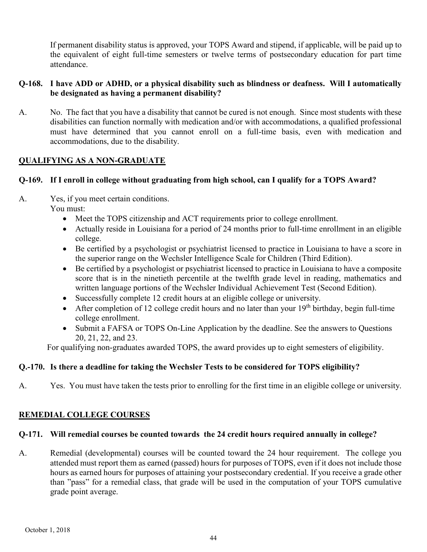If permanent disability status is approved, your TOPS Award and stipend, if applicable, will be paid up to the equivalent of eight full-time semesters or twelve terms of postsecondary education for part time attendance.

## **Q-168. I have ADD or ADHD, or a physical disability such as blindness or deafness. Will I automatically be designated as having a permanent disability?**

A. No. The fact that you have a disability that cannot be cured is not enough. Since most students with these disabilities can function normally with medication and/or with accommodations, a qualified professional must have determined that you cannot enroll on a full-time basis, even with medication and accommodations, due to the disability.

## <span id="page-52-0"></span>**QUALIFYING AS A NON-GRADUATE**

## **Q-169. If I enroll in college without graduating from high school, can I qualify for a TOPS Award?**

- A. Yes, if you meet certain conditions. You must:
	- Meet the TOPS citizenship and ACT requirements prior to college enrollment.
	- Actually reside in Louisiana for a period of 24 months prior to full-time enrollment in an eligible college.
	- Be certified by a psychologist or psychiatrist licensed to practice in Louisiana to have a score in the superior range on the Wechsler Intelligence Scale for Children (Third Edition).
	- Be certified by a psychologist or psychiatrist licensed to practice in Louisiana to have a composite score that is in the ninetieth percentile at the twelfth grade level in reading, mathematics and written language portions of the Wechsler Individual Achievement Test (Second Edition).
	- Successfully complete 12 credit hours at an eligible college or university.
	- After completion of 12 college credit hours and no later than your  $19<sup>th</sup>$  birthday, begin full-time college enrollment.
	- Submit a FAFSA or TOPS On-Line Application by the deadline. See the answers to Questions 20, 21, 22, and 23.

For qualifying non-graduates awarded TOPS, the award provides up to eight semesters of eligibility.

## **Q.-170. Is there a deadline for taking the Wechsler Tests to be considered for TOPS eligibility?**

A. Yes. You must have taken the tests prior to enrolling for the first time in an eligible college or university.

## <span id="page-52-1"></span>**REMEDIAL COLLEGE COURSES**

## **Q-171. Will remedial courses be counted towards the 24 credit hours required annually in college?**

A. Remedial (developmental) courses will be counted toward the 24 hour requirement. The college you attended must report them as earned (passed) hours for purposes of TOPS, even if it does not include those hours as earned hours for purposes of attaining your postsecondary credential. If you receive a grade other than "pass" for a remedial class, that grade will be used in the computation of your TOPS cumulative grade point average.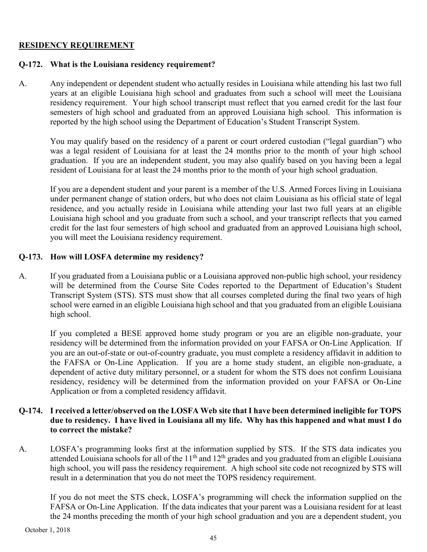#### <span id="page-53-0"></span>**RESIDENCY REQUIREMENT**

#### **Q-172. What is the Louisiana residency requirement?**

A. Any independent or dependent student who actually resides in Louisiana while attending his last two full years at an eligible Louisiana high school and graduates from such a school will meet the Louisiana residency requirement. Your high school transcript must reflect that you earned credit for the last four semesters of high school and graduated from an approved Louisiana high school. This information is reported by the high school using the Department of Education's Student Transcript System.

You may qualify based on the residency of a parent or court ordered custodian ("legal guardian") who was a legal resident of Louisiana for at least the 24 months prior to the month of your high school graduation. If you are an independent student, you may also qualify based on you having been a legal resident of Louisiana for at least the 24 months prior to the month of your high school graduation.

If you are a dependent student and your parent is a member of the U.S. Armed Forces living in Louisiana under permanent change of station orders, but who does not claim Louisiana as his official state of legal residence, and you actually reside in Louisiana while attending your last two full years at an eligible Louisiana high school and you graduate from such a school, and your transcript reflects that you earned credit for the last four semesters of high school and graduated from an approved Louisiana high school, you will meet the Louisiana residency requirement.

#### **Q-173. How will LOSFA determine my residency?**

A. If you graduated from a Louisiana public or a Louisiana approved non-public high school, your residency will be determined from the Course Site Codes reported to the Department of Education's Student Transcript System (STS). STS must show that all courses completed during the final two years of high school were earned in an eligible Louisiana high school and that you graduated from an eligible Louisiana high school.

If you completed a BESE approved home study program or you are an eligible non-graduate, your residency will be determined from the information provided on your FAFSA or On-Line Application. If you are an out-of-state or out-of-country graduate, you must complete a residency affidavit in addition to the FAFSA or On-Line Application. If you are a home study student, an eligible non-graduate, a dependent of active duty military personnel, or a student for whom the STS does not confirm Louisiana residency, residency will be determined from the information provided on your FAFSA or On-Line Application or from a completed residency affidavit.

#### **Q-174. I received a letter/observed on the LOSFA Web site that I have been determined ineligible for TOPS due to residency. I have lived in Louisiana all my life. Why has this happened and what must I do to correct the mistake?**

A. LOSFA's programming looks first at the information supplied by STS. If the STS data indicates you attended Louisiana schools for all of the  $11<sup>th</sup>$  and  $12<sup>th</sup>$  grades and you graduated from an eligible Louisiana high school, you will pass the residency requirement. A high school site code not recognized by STS will result in a determination that you do not meet the TOPS residency requirement.

If you do not meet the STS check, LOSFA's programming will check the information supplied on the FAFSA or On-Line Application. If the data indicates that your parent was a Louisiana resident for at least the 24 months preceding the month of your high school graduation and you are a dependent student, you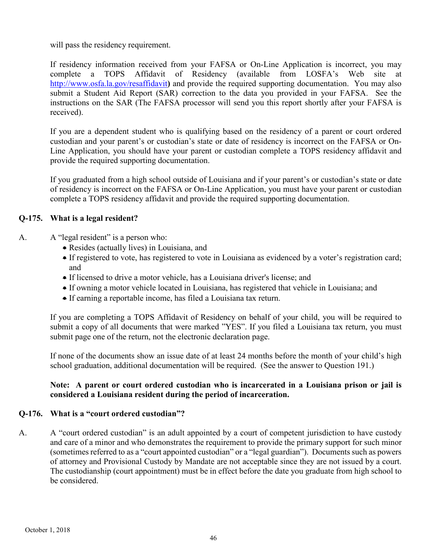will pass the residency requirement.

If residency information received from your FAFSA or On-Line Application is incorrect, you may complete a TOPS Affidavit of Residency (available from LOSFA's Web site at <http://www.osfa.la.gov/resaffidavit>**)** and provide the required supporting documentation. You may also submit a Student Aid Report (SAR) correction to the data you provided in your FAFSA. See the instructions on the SAR (The FAFSA processor will send you this report shortly after your FAFSA is received).

If you are a dependent student who is qualifying based on the residency of a parent or court ordered custodian and your parent's or custodian's state or date of residency is incorrect on the FAFSA or On-Line Application, you should have your parent or custodian complete a TOPS residency affidavit and provide the required supporting documentation.

If you graduated from a high school outside of Louisiana and if your parent's or custodian's state or date of residency is incorrect on the FAFSA or On-Line Application, you must have your parent or custodian complete a TOPS residency affidavit and provide the required supporting documentation.

## **Q-175. What is a legal resident?**

- A. A "legal resident" is a person who:
	- Resides (actually lives) in Louisiana, and
	- If registered to vote, has registered to vote in Louisiana as evidenced by a voter's registration card; and
	- If licensed to drive a motor vehicle, has a Louisiana driver's license; and
	- If owning a motor vehicle located in Louisiana, has registered that vehicle in Louisiana; and
	- If earning a reportable income, has filed a Louisiana tax return.

If you are completing a TOPS Affidavit of Residency on behalf of your child, you will be required to submit a copy of all documents that were marked "YES". If you filed a Louisiana tax return, you must submit page one of the return, not the electronic declaration page.

If none of the documents show an issue date of at least 24 months before the month of your child's high school graduation, additional documentation will be required. (See the answer to Question 191.)

## **Note: A parent or court ordered custodian who is incarcerated in a Louisiana prison or jail is considered a Louisiana resident during the period of incarceration.**

## **Q-176. What is a "court ordered custodian"?**

A. A "court ordered custodian" is an adult appointed by a court of competent jurisdiction to have custody and care of a minor and who demonstrates the requirement to provide the primary support for such minor (sometimes referred to as a "court appointed custodian" or a "legal guardian"). Documents such as powers of attorney and Provisional Custody by Mandate are not acceptable since they are not issued by a court. The custodianship (court appointment) must be in effect before the date you graduate from high school to be considered.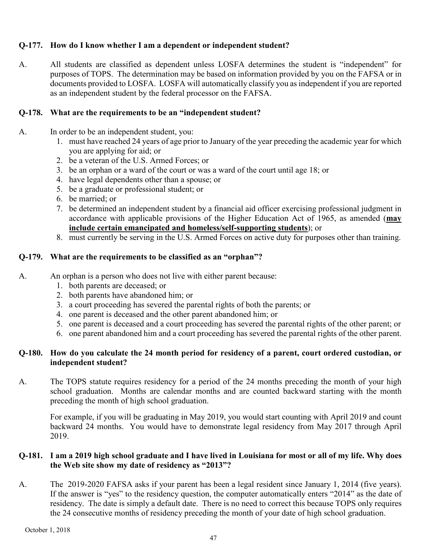## **Q-177. How do I know whether I am a dependent or independent student?**

A. All students are classified as dependent unless LOSFA determines the student is "independent" for purposes of TOPS. The determination may be based on information provided by you on the FAFSA or in documents provided to LOSFA. LOSFA will automatically classify you as independent if you are reported as an independent student by the federal processor on the FAFSA.

## **Q-178. What are the requirements to be an "independent student?**

- A. In order to be an independent student, you:
	- 1. must have reached 24 years of age prior to January of the year preceding the academic year for which you are applying for aid; or
	- 2. be a veteran of the U.S. Armed Forces; or
	- 3. be an orphan or a ward of the court or was a ward of the court until age 18; or
	- 4. have legal dependents other than a spouse; or
	- 5. be a graduate or professional student; or
	- 6. be married; or
	- 7. be determined an independent student by a financial aid officer exercising professional judgment in accordance with applicable provisions of the Higher Education Act of 1965, as amended (**may include certain emancipated and homeless/self-supporting students**); or
	- 8. must currently be serving in the U.S. Armed Forces on active duty for purposes other than training.

## **Q-179. What are the requirements to be classified as an "orphan"?**

- A. An orphan is a person who does not live with either parent because:
	- 1. both parents are deceased; or
	- 2. both parents have abandoned him; or
	- 3. a court proceeding has severed the parental rights of both the parents; or
	- 4. one parent is deceased and the other parent abandoned him; or
	- 5. one parent is deceased and a court proceeding has severed the parental rights of the other parent; or
	- 6. one parent abandoned him and a court proceeding has severed the parental rights of the other parent.

## **Q-180. How do you calculate the 24 month period for residency of a parent, court ordered custodian, or independent student?**

A. The TOPS statute requires residency for a period of the 24 months preceding the month of your high school graduation. Months are calendar months and are counted backward starting with the month preceding the month of high school graduation.

For example, if you will be graduating in May 2019, you would start counting with April 2019 and count backward 24 months. You would have to demonstrate legal residency from May 2017 through April 2019.

## **Q-181. I am a 2019 high school graduate and I have lived in Louisiana for most or all of my life. Why does the Web site show my date of residency as "2013"?**

A. The 2019-2020 FAFSA asks if your parent has been a legal resident since January 1, 2014 (five years). If the answer is "yes" to the residency question, the computer automatically enters "2014" as the date of residency. The date is simply a default date. There is no need to correct this because TOPS only requires the 24 consecutive months of residency preceding the month of your date of high school graduation.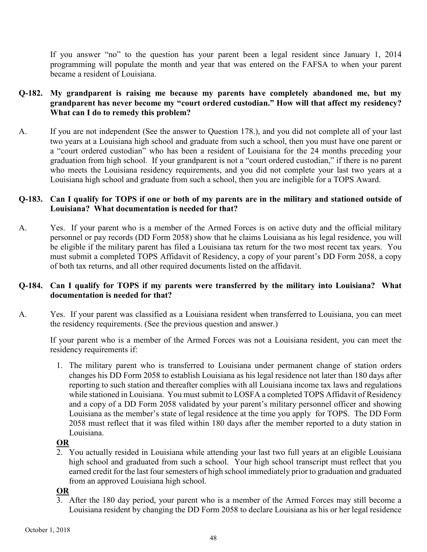If you answer "no" to the question has your parent been a legal resident since January 1, 2014 programming will populate the month and year that was entered on the FAFSA to when your parent became a resident of Louisiana.

#### **Q-182. My grandparent is raising me because my parents have completely abandoned me, but my grandparent has never become my "court ordered custodian." How will that affect my residency? What can I do to remedy this problem?**

A. If you are not independent (See the answer to Question 178.), and you did not complete all of your last two years at a Louisiana high school and graduate from such a school, then you must have one parent or a "court ordered custodian" who has been a resident of Louisiana for the 24 months preceding your graduation from high school. If your grandparent is not a "court ordered custodian," if there is no parent who meets the Louisiana residency requirements, and you did not complete your last two years at a Louisiana high school and graduate from such a school, then you are ineligible for a TOPS Award.

#### **Q-183. Can I qualify for TOPS if one or both of my parents are in the military and stationed outside of Louisiana? What documentation is needed for that?**

A. Yes. If your parent who is a member of the Armed Forces is on active duty and the official military personnel or pay records (DD Form 2058) show that he claims Louisiana as his legal residence, you will be eligible if the military parent has filed a Louisiana tax return for the two most recent tax years. You must submit a completed TOPS Affidavit of Residency, a copy of your parent's DD Form 2058, a copy of both tax returns, and all other required documents listed on the affidavit.

## **Q-184. Can I qualify for TOPS if my parents were transferred by the military into Louisiana? What documentation is needed for that?**

A. Yes. If your parent was classified as a Louisiana resident when transferred to Louisiana, you can meet the residency requirements. (See the previous question and answer.)

If your parent who is a member of the Armed Forces was not a Louisiana resident, you can meet the residency requirements if:

1. The military parent who is transferred to Louisiana under permanent change of station orders changes his DD Form 2058 to establish Louisiana as his legal residence not later than 180 days after reporting to such station and thereafter complies with all Louisiana income tax laws and regulations while stationed in Louisiana. You must submit to LOSFA a completed TOPS Affidavit of Residency and a copy of a DD Form 2058 validated by your parent's military personnel officer and showing Louisiana as the member's state of legal residence at the time you apply for TOPS. The DD Form 2058 must reflect that it was filed within 180 days after the member reported to a duty station in Louisiana.

## **OR**

2. You actually resided in Louisiana while attending your last two full years at an eligible Louisiana high school and graduated from such a school. Your high school transcript must reflect that you earned credit for the last four semesters of high school immediately prior to graduation and graduated from an approved Louisiana high school.

## **OR**

3. After the 180 day period, your parent who is a member of the Armed Forces may still become a Louisiana resident by changing the DD Form 2058 to declare Louisiana as his or her legal residence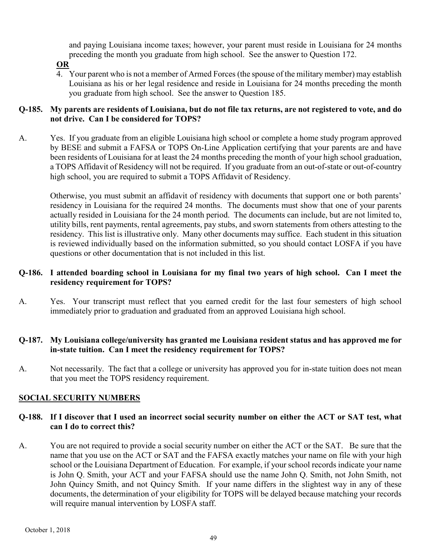and paying Louisiana income taxes; however, your parent must reside in Louisiana for 24 months preceding the month you graduate from high school. See the answer to Question 172.

## **OR**

4. Your parent who is not a member of Armed Forces (the spouse of the military member) may establish Louisiana as his or her legal residence and reside in Louisiana for 24 months preceding the month you graduate from high school. See the answer to Question 185.

## **Q-185. My parents are residents of Louisiana, but do not file tax returns, are not registered to vote, and do not drive. Can I be considered for TOPS?**

A. Yes. If you graduate from an eligible Louisiana high school or complete a home study program approved by BESE and submit a FAFSA or TOPS On-Line Application certifying that your parents are and have been residents of Louisiana for at least the 24 months preceding the month of your high school graduation, a TOPS Affidavit of Residency will not be required. If you graduate from an out-of-state or out-of-country high school, you are required to submit a TOPS Affidavit of Residency.

Otherwise, you must submit an affidavit of residency with documents that support one or both parents' residency in Louisiana for the required 24 months. The documents must show that one of your parents actually resided in Louisiana for the 24 month period. The documents can include, but are not limited to, utility bills, rent payments, rental agreements, pay stubs, and sworn statements from others attesting to the residency. This list is illustrative only. Many other documents may suffice. Each student in this situation is reviewed individually based on the information submitted, so you should contact LOSFA if you have questions or other documentation that is not included in this list.

## **Q-186. I attended boarding school in Louisiana for my final two years of high school. Can I meet the residency requirement for TOPS?**

A. Yes. Your transcript must reflect that you earned credit for the last four semesters of high school immediately prior to graduation and graduated from an approved Louisiana high school.

## **Q-187. My Louisiana college/university has granted me Louisiana resident status and has approved me for in-state tuition. Can I meet the residency requirement for TOPS?**

A. Not necessarily. The fact that a college or university has approved you for in-state tuition does not mean that you meet the TOPS residency requirement.

## <span id="page-57-0"></span>**SOCIAL SECURITY NUMBERS**

#### **Q-188. If I discover that I used an incorrect social security number on either the ACT or SAT test, what can I do to correct this?**

A. You are not required to provide a social security number on either the ACT or the SAT. Be sure that the name that you use on the ACT or SAT and the FAFSA exactly matches your name on file with your high school or the Louisiana Department of Education. For example, if your school records indicate your name is John Q. Smith, your ACT and your FAFSA should use the name John Q. Smith, not John Smith, not John Quincy Smith, and not Quincy Smith. If your name differs in the slightest way in any of these documents, the determination of your eligibility for TOPS will be delayed because matching your records will require manual intervention by LOSFA staff.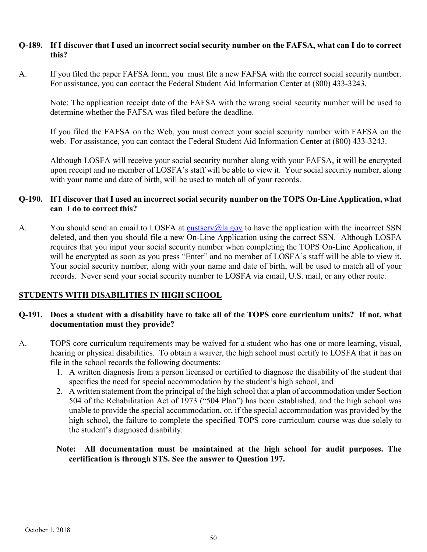#### **Q-189. If I discover that I used an incorrect social security number on the FAFSA, what can I do to correct this?**

A. If you filed the paper FAFSA form, you must file a new FAFSA with the correct social security number. For assistance, you can contact the Federal Student Aid Information Center at (800) 433-3243.

Note: The application receipt date of the FAFSA with the wrong social security number will be used to determine whether the FAFSA was filed before the deadline.

If you filed the FAFSA on the Web, you must correct your social security number with FAFSA on the web. For assistance, you can contact the Federal Student Aid Information Center at (800) 433-3243.

Although LOSFA will receive your social security number along with your FAFSA, it will be encrypted upon receipt and no member of LOSFA's staff will be able to view it. Your social security number, along with your name and date of birth, will be used to match all of your records.

#### **Q-190. If I discover that I used an incorrect social security number on the TOPS On-Line Application, what can I do to correct this?**

A. You should send an email to LOSFA at **custserv**(a) all govern to have the application with the incorrect SSN deleted, and then you should file a new On-Line Application using the correct SSN. Although LOSFA requires that you input your social security number when completing the TOPS On-Line Application, it will be encrypted as soon as you press "Enter" and no member of LOSFA's staff will be able to view it. Your social security number, along with your name and date of birth, will be used to match all of your records. Never send your social security number to LOSFA via email, U.S. mail, or any other route.

## <span id="page-58-0"></span>**STUDENTS WITH DISABILITIES IN HIGH SCHOOL**

#### **Q-191. Does a student with a disability have to take all of the TOPS core curriculum units? If not, what documentation must they provide?**

- A. TOPS core curriculum requirements may be waived for a student who has one or more learning, visual, hearing or physical disabilities. To obtain a waiver, the high school must certify to LOSFA that it has on file in the school records the following documents:
	- 1. A written diagnosis from a person licensed or certified to diagnose the disability of the student that specifies the need for special accommodation by the student's high school, and
	- 2. A written statement from the principal of the high school that a plan of accommodation under Section 504 of the Rehabilitation Act of 1973 ("504 Plan") has been established, and the high school was unable to provide the special accommodation, or, if the special accommodation was provided by the high school, the failure to complete the specified TOPS core curriculum course was due solely to the student's diagnosed disability.

#### **Note: All documentation must be maintained at the high school for audit purposes. The certification is through STS. See the answer to Question 197.**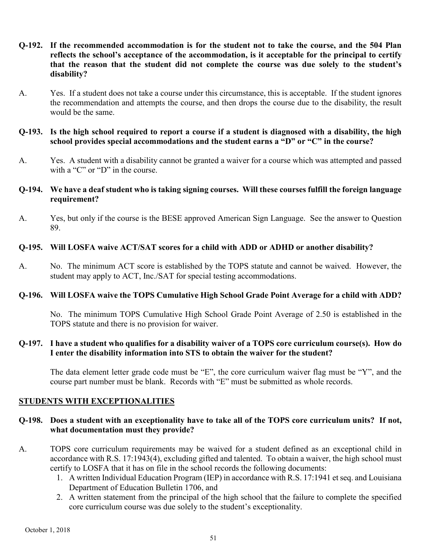- **Q-192. If the recommended accommodation is for the student not to take the course, and the 504 Plan reflects the school's acceptance of the accommodation, is it acceptable for the principal to certify that the reason that the student did not complete the course was due solely to the student's disability?**
- A. Yes. If a student does not take a course under this circumstance, this is acceptable. If the student ignores the recommendation and attempts the course, and then drops the course due to the disability, the result would be the same.

#### **Q-193. Is the high school required to report a course if a student is diagnosed with a disability, the high school provides special accommodations and the student earns a "D" or "C" in the course?**

A. Yes. A student with a disability cannot be granted a waiver for a course which was attempted and passed with a "C" or "D" in the course.

#### **Q-194. We have a deaf student who is taking signing courses. Will these courses fulfill the foreign language requirement?**

A. Yes, but only if the course is the BESE approved American Sign Language. See the answer to Question 89.

#### **Q-195. Will LOSFA waive ACT/SAT scores for a child with ADD or ADHD or another disability?**

A. No. The minimum ACT score is established by the TOPS statute and cannot be waived. However, the student may apply to ACT, Inc./SAT for special testing accommodations.

## **Q-196. Will LOSFA waive the TOPS Cumulative High School Grade Point Average for a child with ADD?**

No. The minimum TOPS Cumulative High School Grade Point Average of 2.50 is established in the TOPS statute and there is no provision for waiver.

#### **Q-197. I have a student who qualifies for a disability waiver of a TOPS core curriculum course(s). How do I enter the disability information into STS to obtain the waiver for the student?**

The data element letter grade code must be "E", the core curriculum waiver flag must be "Y", and the course part number must be blank. Records with "E" must be submitted as whole records.

## <span id="page-59-0"></span>**STUDENTS WITH EXCEPTIONALITIES**

## **Q-198. Does a student with an exceptionality have to take all of the TOPS core curriculum units? If not, what documentation must they provide?**

- A. TOPS core curriculum requirements may be waived for a student defined as an exceptional child in accordance with R.S. 17:1943(4), excluding gifted and talented. To obtain a waiver, the high school must certify to LOSFA that it has on file in the school records the following documents:
	- 1. A written Individual Education Program (IEP) in accordance with R.S. 17:1941 et seq. and Louisiana Department of Education Bulletin 1706, and
	- 2. A written statement from the principal of the high school that the failure to complete the specified core curriculum course was due solely to the student's exceptionality.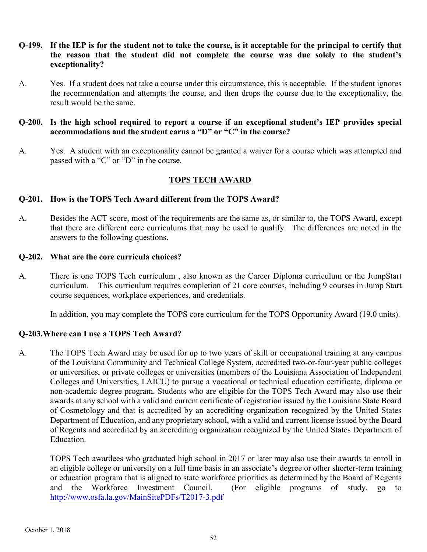- **Q-199. If the IEP is for the student not to take the course, is it acceptable for the principal to certify that the reason that the student did not complete the course was due solely to the student's exceptionality?**
- A. Yes. If a student does not take a course under this circumstance, this is acceptable. If the student ignores the recommendation and attempts the course, and then drops the course due to the exceptionality, the result would be the same.
- **Q-200. Is the high school required to report a course if an exceptional student's IEP provides special accommodations and the student earns a "D" or "C" in the course?**
- A. Yes. A student with an exceptionality cannot be granted a waiver for a course which was attempted and passed with a "C" or "D" in the course.

#### **TOPS TECH AWARD**

#### <span id="page-60-0"></span>**Q-201. How is the TOPS Tech Award different from the TOPS Award?**

A. Besides the ACT score, most of the requirements are the same as, or similar to, the TOPS Award, except that there are different core curriculums that may be used to qualify. The differences are noted in the answers to the following questions.

#### **Q-202. What are the core curricula choices?**

A. There is one TOPS Tech curriculum , also known as the Career Diploma curriculum or the JumpStart curriculum. This curriculum requires completion of 21 core courses, including 9 courses in Jump Start course sequences, workplace experiences, and credentials.

In addition, you may complete the TOPS core curriculum for the TOPS Opportunity Award (19.0 units).

#### **Q-203.Where can I use a TOPS Tech Award?**

A. The TOPS Tech Award may be used for up to two years of skill or occupational training at any campus of the Louisiana Community and Technical College System, accredited two-or-four-year public colleges or universities, or private colleges or universities (members of the Louisiana Association of Independent Colleges and Universities, LAICU) to pursue a vocational or technical education certificate, diploma or non-academic degree program. Students who are eligible for the TOPS Tech Award may also use their awards at any school with a valid and current certificate of registration issued by the Louisiana State Board of Cosmetology and that is accredited by an accrediting organization recognized by the United States Department of Education, and any proprietary school, with a valid and current license issued by the Board of Regents and accredited by an accrediting organization recognized by the United States Department of Education.

TOPS Tech awardees who graduated high school in 2017 or later may also use their awards to enroll in an eligible college or university on a full time basis in an associate's degree or other shorter-term training or education program that is aligned to state workforce priorities as determined by the Board of Regents and the Workforce Investment Council. (For eligible programs of study, go to [http://www.osfa.la.gov/MainSitePDFs/T2017-3.pdf](http://www.osfa.la.gov/MainSitePDFs/T2016-3.pdf)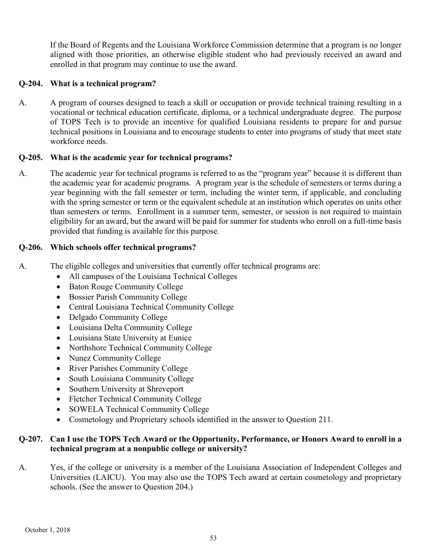If the Board of Regents and the Louisiana Workforce Commission determine that a program is no longer aligned with those priorities, an otherwise eligible student who had previously received an award and enrolled in that program may continue to use the award.

## **Q-204. What is a technical program?**

A. A program of courses designed to teach a skill or occupation or provide technical training resulting in a vocational or technical education certificate, diploma, or a technical undergraduate degree. The purpose of TOPS Tech is to provide an incentive for qualified Louisiana residents to prepare for and pursue technical positions in Louisiana and to encourage students to enter into programs of study that meet state workforce needs.

## **Q-205. What is the academic year for technical programs?**

A. The academic year for technical programs is referred to as the "program year" because it is different than the academic year for academic programs. A program year is the schedule of semesters or terms during a year beginning with the fall semester or term, including the winter term, if applicable, and concluding with the spring semester or term or the equivalent schedule at an institution which operates on units other than semesters or terms. Enrollment in a summer term, semester, or session is not required to maintain eligibility for an award, but the award will be paid for summer for students who enroll on a full-time basis provided that funding is available for this purpose.

## **Q-206. Which schools offer technical programs?**

- A. The eligible colleges and universities that currently offer technical programs are:
	- All campuses of the Louisiana Technical Colleges
	- Baton Rouge Community College
	- Bossier Parish Community College
	- Central Louisiana Technical Community College
	- Delgado Community College
	- Louisiana Delta Community College
	- Louisiana State University at Eunice
	- Northshore Technical Community College
	- Nunez Community College
	- River Parishes Community College
	- South Louisiana Community College
	- Southern University at Shreveport
	- Fletcher Technical Community College
	- SOWELA Technical Community College
	- Cosmetology and Proprietary schools identified in the answer to Question 211.

## **Q-207. Can I use the TOPS Tech Award or the Opportunity, Performance, or Honors Award to enroll in a technical program at a nonpublic college or university?**

A. Yes, if the college or university is a member of the Louisiana Association of Independent Colleges and Universities (LAICU). You may also use the TOPS Tech award at certain cosmetology and proprietary schools. (See the answer to Question 204.)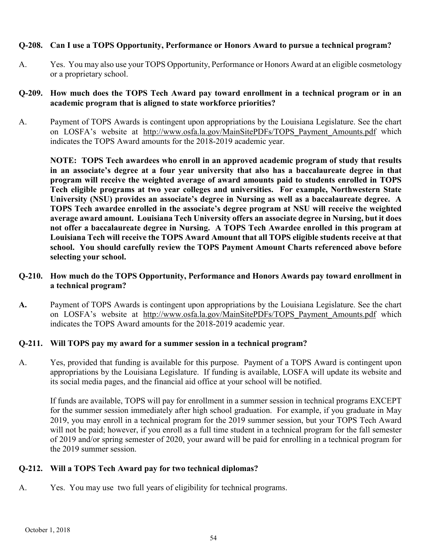#### **Q-208. Can I use a TOPS Opportunity, Performance or Honors Award to pursue a technical program?**

A. Yes. You may also use your TOPS Opportunity, Performance or Honors Award at an eligible cosmetology or a proprietary school.

#### **Q-209. How much does the TOPS Tech Award pay toward enrollment in a technical program or in an academic program that is aligned to state workforce priorities?**

A. Payment of TOPS Awards is contingent upon appropriations by the Louisiana Legislature. See the chart on LOSFA's website at [http://www.osfa.la.gov/MainSitePDFs/TOPS\\_Payment\\_Amounts.pdf](http://www.osfa.la.gov/MainSitePDFs/TOPS_Payment_Amounts.pdf) which indicates the TOPS Award amounts for the 2018-2019 academic year.

**NOTE: TOPS Tech awardees who enroll in an approved academic program of study that results in an associate's degree at a four year university that also has a baccalaureate degree in that program will receive the weighted average of award amounts paid to students enrolled in TOPS Tech eligible programs at two year colleges and universities. For example, Northwestern State University (NSU) provides an associate's degree in Nursing as well as a baccalaureate degree. A TOPS Tech awardee enrolled in the associate's degree program at NSU will receive the weighted average award amount. Louisiana Tech University offers an associate degree in Nursing, but it does not offer a baccalaureate degree in Nursing. A TOPS Tech Awardee enrolled in this program at Louisiana Tech will receive the TOPS Award Amount that all TOPS eligible students receive at that school. You should carefully review the TOPS Payment Amount Charts referenced above before selecting your school.** 

#### **Q-210. How much do the TOPS Opportunity, Performance and Honors Awards pay toward enrollment in a technical program?**

**A.** Payment of TOPS Awards is contingent upon appropriations by the Louisiana Legislature. See the chart on LOSFA's website at [http://www.osfa.la.gov/MainSitePDFs/TOPS\\_Payment\\_Amounts.pdf](http://www.osfa.la.gov/MainSitePDFs/TOPS_Payment_Amounts.pdf) which indicates the TOPS Award amounts for the 2018-2019 academic year.

## **Q-211. Will TOPS pay my award for a summer session in a technical program?**

A. Yes, provided that funding is available for this purpose. Payment of a TOPS Award is contingent upon appropriations by the Louisiana Legislature. If funding is available, LOSFA will update its website and its social media pages, and the financial aid office at your school will be notified.

If funds are available, TOPS will pay for enrollment in a summer session in technical programs EXCEPT for the summer session immediately after high school graduation. For example, if you graduate in May 2019, you may enroll in a technical program for the 2019 summer session, but your TOPS Tech Award will not be paid; however, if you enroll as a full time student in a technical program for the fall semester of 2019 and/or spring semester of 2020, your award will be paid for enrolling in a technical program for the 2019 summer session.

## **Q-212. Will a TOPS Tech Award pay for two technical diplomas?**

A. Yes. You may use two full years of eligibility for technical programs.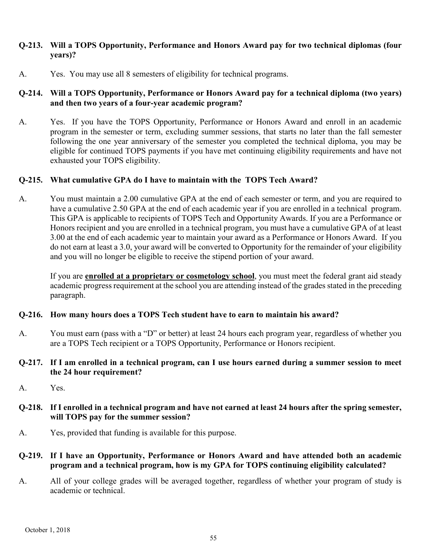#### **Q-213. Will a TOPS Opportunity, Performance and Honors Award pay for two technical diplomas (four years)?**

A. Yes. You may use all 8 semesters of eligibility for technical programs.

## **Q-214. Will a TOPS Opportunity, Performance or Honors Award pay for a technical diploma (two years) and then two years of a four-year academic program?**

A. Yes. If you have the TOPS Opportunity, Performance or Honors Award and enroll in an academic program in the semester or term, excluding summer sessions, that starts no later than the fall semester following the one year anniversary of the semester you completed the technical diploma, you may be eligible for continued TOPS payments if you have met continuing eligibility requirements and have not exhausted your TOPS eligibility.

#### **Q-215. What cumulative GPA do I have to maintain with the TOPS Tech Award?**

A. You must maintain a 2.00 cumulative GPA at the end of each semester or term, and you are required to have a cumulative 2.50 GPA at the end of each academic year if you are enrolled in a technical program. This GPA is applicable to recipients of TOPS Tech and Opportunity Awards. If you are a Performance or Honors recipient and you are enrolled in a technical program, you must have a cumulative GPA of at least 3.00 at the end of each academic year to maintain your award as a Performance or Honors Award. If you do not earn at least a 3.0, your award will be converted to Opportunity for the remainder of your eligibility and you will no longer be eligible to receive the stipend portion of your award.

If you are **enrolled at a proprietary or cosmetology school**, you must meet the federal grant aid steady academic progress requirement at the school you are attending instead of the grades stated in the preceding paragraph.

#### **Q-216. How many hours does a TOPS Tech student have to earn to maintain his award?**

- A. You must earn (pass with a "D" or better) at least 24 hours each program year, regardless of whether you are a TOPS Tech recipient or a TOPS Opportunity, Performance or Honors recipient.
- **Q-217. If I am enrolled in a technical program, can I use hours earned during a summer session to meet the 24 hour requirement?**
- A. Yes.
- **Q-218. If I enrolled in a technical program and have not earned at least 24 hours after the spring semester, will TOPS pay for the summer session?**
- A. Yes, provided that funding is available for this purpose.
- **Q-219. If I have an Opportunity, Performance or Honors Award and have attended both an academic program and a technical program, how is my GPA for TOPS continuing eligibility calculated?**
- A. All of your college grades will be averaged together, regardless of whether your program of study is academic or technical.